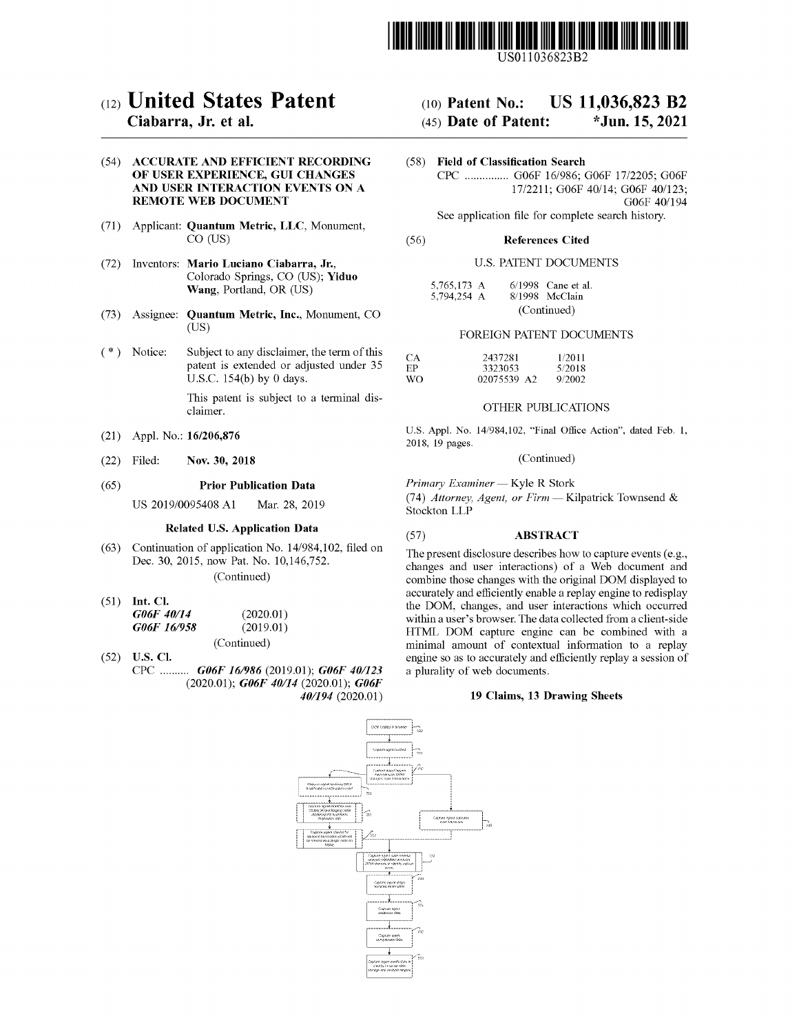

US011036823B2

## c12) **United States Patent**

### **Ciabarra, Jr. et al.**

### (54) **ACCURATE AND EFFICIENT RECORDING OF USER EXPERIENCE, GUI CHANGES AND USER INTERACTION EVENTS ON A REMOTE WEB DOCUMENT**

- (71) Applicant: **Quantum Metric, LLC,** Monument, CO (US)
- (72) Inventors: **Mario Luciano Ciabarra, Jr.,**  Colorado Springs, CO (US); **Yiduo Wang,** Portland, OR (US)
- (73) Assignee: **Quantum Metric, Inc.,** Monument, CO (US)
- $(*)$  Notice: Subject to any disclaimer, the term of this patent is extended or adjusted under 35 U.S.C. 154(b) by O days.

This patent is subject to a terminal disclaimer.

- (21) Appl. No.: **16/206,876**
- (22) Filed: **Nov. 30, 2018**

#### (65) **Prior Publication Data**

US 2019/0095408 Al Mar. 28, 2019

### **Related U.S. Application Data**

(63) Continuation of application No. 14/984,102, filed on Dec. 30, 2015, now Pat. No. 10,146,752. (Continued)

| (51) | Int. Cl.    |             |
|------|-------------|-------------|
|      | G06F 40/14  | (2020.01)   |
|      | G06F 16/958 | (2019.01)   |
|      |             | (Continued) |

 $(51)$ 

(52) **U.S. Cl.**  CPC .......... *G06F 161986* (2019.01); *G06F 401123*  (2020.01); *G06F 40114* (2020.01); *G06F 401194* (2020.01)

## (IO) **Patent No.: US 11,036,823 B2**

### (45) **Date of Patent: \*Jun. 15, 2021**

(58) **Field of Classification Search**  CPC ............... G06F 16/986; G06F 17/2205; G06F 17/2211; G06F 40/14; G06F 40/123; G06F 40/194

See application file for complete search history.

### (56) **References Cited**

### U.S. PATENT DOCUMENTS

| 5,765,173 A |  | $6/1998$ Cane et al. |
|-------------|--|----------------------|
| 5,794,254 A |  | 8/1998 McClain       |
|             |  | (Continued)          |

### FOREIGN PATENT DOCUMENTS

| CA  | 2437281     | 1/2011 |
|-----|-------------|--------|
| EP. | 3323053     | 5/2018 |
| WO. | 02075539 A2 | 9/2002 |

#### OTHER PUBLICATIONS

U.S. Appl. No. 14/984,102, "Final Office Action", dated Feb. 1, 2018, 19 pages.

(Continued)

*Primary Examiner* - Kyle R Stork (74) *Attorney, Agent, or Firm* - Kilpatrick Townsend &

Stockton LLP

### (57) **ABSTRACT**

The present disclosure describes how to capture events (e.g., changes and user interactions) of a Web document and combine those changes with the original DOM displayed to accurately and efficiently enable a replay engine to redisplay the DOM, changes, and user interactions which occurred within a user's browser. The data collected from a client-side HTML DOM capture engine can be combined with a minimal amount of contextual information to a replay engine so as to accurately and efficiently replay a session of a plurality of web documents.

### **19 Claims, 13 Drawing Sheets**

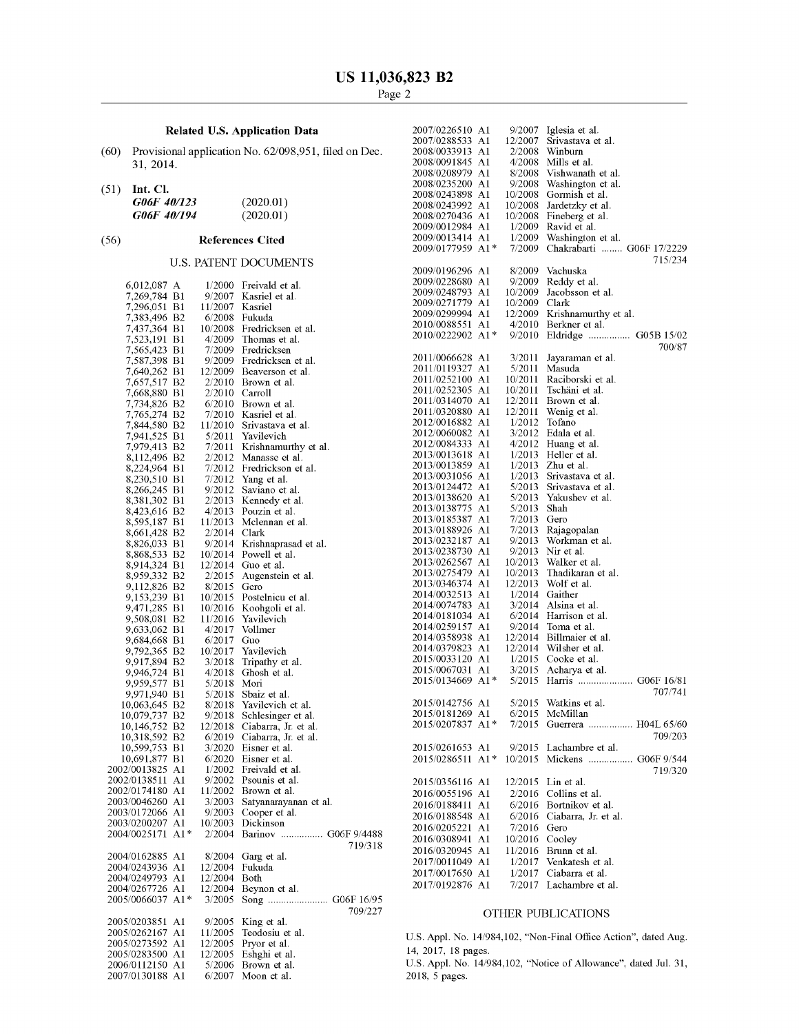### **Related U.S. Application Data**

- (60) Provisional application No. 62/098,951, filed on Dec. 31, 2014.
- (51) **Int. Cl.**

| G06F 40/123 | (2020.01) |
|-------------|-----------|
| G06F 40/194 | (2020.01) |

#### (56) **References Cited**

### U.S. PATENT DOCUMENTS

| 6,012,087 A                 |                | 1/2000           | Freivald et al.                |
|-----------------------------|----------------|------------------|--------------------------------|
| 7,269,784 B1                |                | 9/2007           | Kasriel et al.                 |
| 7,296,051 B1                |                | 11/2007          | Kasriel                        |
| 7,383,496 B2                |                | 6/2008           | Fukuda                         |
| 7,437,364 B1                |                | 10/2008          | Fredricksen et al.             |
| 7,523,191 B1                |                | 4/2009           | Thomas et al.                  |
| 7,565,423 B1                |                | 7/2009           | Fredricksen                    |
| 7,587,398 B1                |                | 9/2009           | Fredricksen et al.             |
| 7,640,262 B1                |                | 12/2009          | Beaverson et al.               |
| 7,657,517 B2                |                | 2/2010           | Brown et al.                   |
| 7,668,880 B1                |                | 2/2010           | Carroll                        |
| 7,734,826 B2                |                | 6/2010           | Brown et al.                   |
| 7,765,274 B2                |                | 7/2010           | Kasriel et al.                 |
| 7,844,580 B2                |                | 11/2010          | Srivastava et al.              |
| 7,941,525 B1                |                | 5/2011           | Yavilevich                     |
| 7,979,413 B2                |                | 7/2011           | Krishnamurthy et al.           |
| 8,112,496 B2                |                | 2/2012           | Manasse et al.                 |
| 8,224,964 B1                |                | 7/2012           | Fredrickson et al.             |
| 8,230,510 B1                |                | 7/2012           | Yang et al.                    |
| 8,266,245 B1                |                | 9/2012           | Saviano et al.                 |
| 8,381,302 B1                |                | 2/2013           | Kennedy et al.                 |
| 8,423,616 B2                |                | 4/2013           | Pouzin et al.                  |
| 8,595,187 B1                |                | 11/2013          | Mclennan et al.                |
| 8,661,428 B2                |                | 2/2014           | Clark                          |
| 8,826,033 B1                |                | 9/2014           | Krishnaprasad et al.           |
| 8,868,533 B2                |                | 10/2014          | Powell et al.                  |
| 8,914,324 B1                |                | 12/2014          | Guo et al.                     |
| 8,959,332 B2                |                | 2/2015           | Augenstein et al.              |
| 9,112,826 B2                |                | 8/2015           | Gero                           |
| 9,153,239 B1                |                | 10/2015          | Postelnicu et al.              |
| 9,471,285 B1                |                | 10/2016          | Koohgoli et al.                |
| 9,508,081 B2                |                | 11/2016          | Yavilevich                     |
| 9,633,062 B1                |                | 4/2017           | Vollmer                        |
| 9,684,668 B1                |                | 6/2017           | Guo                            |
| 9,792,365 B2                |                | 10/2017          | Yavilevich                     |
| 9,917,894 B2                |                | 3/2018           | Tripathy et al.                |
| 9,946,724 B1                |                | 4/2018           | Ghosh et al.                   |
| 9,959,577 B1                |                | 5/2018           | Mori                           |
| 9,971,940 B1                |                | 5/2018           | Sbaiz et al.                   |
| 10,063,645 B2               |                | 8/2018           | Yavilevich et al.              |
| 10,079,737                  | B <sub>2</sub> | 9/2018           | Schlesinger et al.             |
| 10,146,752 B2               |                | 12/2018          | Ciabarra, Jr. et al.           |
| 10,318,592 B2               |                | 6/2019<br>3/2020 | Ciabarra, Jr. et al.           |
| 10,599,753 B1<br>10,691,877 | B1             | 6/2020           | Eisner et al.<br>Eisner et al. |
| 2002/0013825                | Al             | 1/2002           | Freivald et al.                |
| 2002/0138511                | A1             | 9/2002           | Psounis et al.                 |
| 2002/0174180                | Al             | 11/2002          | Brown et al.                   |
| 2003/0046260                | Al             | 3/2003           | Satyanarayanan et al.          |
| 2003/0172066                | Al             | 9/2003           | Cooper et al.                  |
| 2003/0200207                | A1             | 10/2003          | Dickinson                      |
| 2004/0025171 A1*            |                | 2/2004           | Barinov  G06F 9/4488           |
|                             |                |                  | 719/318                        |
| 2004/0162885 A1             |                |                  | 8/2004 Garg et al.             |
| 2004/0243936 A1             |                | 12/2004          | Fukuda                         |
| 2004/0249793                | Al             | 12/2004          | Both                           |
| 2004/0267726                | Al             | 12/2004          | Beynon et al.                  |
| 2005/0066037                | $A1*$          | 3/2005           |                                |
|                             |                |                  | 709/227                        |
| 2005/0203851                | Al             | 9/2005           | King et al.                    |
| 2005/0262167                | A1             | 11/2005          | Teodosiu et al.                |
| 2005/0273592                | Al             | 12/2005          | Pryor et al.                   |
| 2005/0283500                | A1             | 12/2005          | Eshghi et al.                  |
| 2006/0112150 A1             |                | 5/2006           | Brown et al.                   |
| 2007/0130188 A1             |                | 6/2007           | Moon et al.                    |
|                             |                |                  |                                |

| 2007/0226510                    | Al    | 9/2007           | Iglesia et al.                      |
|---------------------------------|-------|------------------|-------------------------------------|
| 2007/0288533                    | Al    | 12/2007          | Srivastava et al.                   |
| 2008/0033913                    | Al    | 2/2008           | Winburn                             |
|                                 |       |                  |                                     |
| 2008/0091845                    | Al    | 4/2008           | Mills et al.                        |
| 2008/0208979                    | Al    | 8/2008           | Vishwanath et al.                   |
| 2008/0235200                    | Al    | 9/2008           | Washington et al.                   |
|                                 |       |                  |                                     |
| 2008/0243898                    | Al    | 10/2008          | Gormish et al.                      |
| 2008/0243992                    | Al    | 10/2008          | Jardetzky et al.                    |
| 2008/0270436                    | Al    | 10/2008          | Fineberg et al.                     |
|                                 |       |                  |                                     |
| 2009/0012984                    | Al    | 1/2009           | Ravid et al.                        |
| 2009/0013414                    | Al    | 1/2009           | Washington et al.                   |
| 2009/0177959                    | $A1*$ | 7/2009           | Chakrabarti  G06F 17/2229           |
|                                 |       |                  |                                     |
|                                 |       |                  | 715/234                             |
| 2009/0196296                    | Al    | 8/2009           | Vachuska                            |
| 2009/0228680                    | A1    | 9/2009           | Reddy et al.                        |
|                                 |       |                  |                                     |
| 2009/0248793                    | Al    | 10/2009          | Jacobsson et al.                    |
| 2009/0271779                    | Al    | 10/2009          | Clark                               |
| 2009/0299994                    | A1    | 12/2009          | Krishnamurthy et al.                |
| 2010/0088551                    | Al    | 4/2010           | Berkner et al.                      |
|                                 |       |                  |                                     |
| 2010/0222902                    | $Al*$ | 9/2010           | Eldridge<br>G05B 15/02              |
|                                 |       |                  | 700/87                              |
| 2011/0066628                    | Al    | 3/2011           | Jayaraman et al.                    |
|                                 |       |                  |                                     |
| 2011/0119327                    | Al    | 5/2011           | Masuda                              |
| 2011/0252100                    | A1    | 10/2011          | Raciborski et al.                   |
| 2011/0252305                    | Al    | 10/2011          | Tschäni et al.                      |
| 2011/0314070                    |       |                  |                                     |
|                                 | Al    | 12/2011          | Brown et al.                        |
| 2011/0320880                    | A1    | 12/2011          | Wenig et al.                        |
| 2012/0016882                    | Al    | 1/2012           | Tofano                              |
| 2012/0060082                    | Al    | 3/2012           | Edala et al.                        |
|                                 |       |                  |                                     |
| 2012/0084333                    | A1    | 4/2012           | Huang et al.                        |
| 2013/0013618                    | Al    | 1/2013           | Heller et al.                       |
| 2013/0013859                    | Al    | 1/2013           | Zhu et al.                          |
| 2013/0031056                    | Al    | 1/2013           | Srivastava et al.                   |
| 2013/0124472                    | Al    | 5/2013           | Srivastava et al.                   |
|                                 |       |                  |                                     |
| 2013/0138620                    | Al    | 5/2013           | Yakushev et al.                     |
| 2013/0138775                    | Al    | 5/2013           | Shah                                |
| 2013/0185387                    | Al    | 7/2013           | Gero                                |
| 2013/0188926                    | Al    | 7/2013           | Rajagopalan                         |
|                                 |       |                  |                                     |
| 2013/0232187                    | Al    | 9/2013           | Workman et al.                      |
| 2013/0238730                    | Al    | 9/2013           | Nir et al.                          |
| 2013/0262567                    | A1    | 10/2013          | Walker et al.                       |
| 2013/0275479                    | Al    | 10/2013          | Thadikaran et al.                   |
| 2013/0346374                    | Al    | 12/2013          | Wolf et al.                         |
|                                 |       |                  |                                     |
| 2014/0032513                    | Al    | 1/2014           | Gaither                             |
| 2014/0074783                    | Al    | 3/2014           | Alsina et al.                       |
| 2014/0181034                    | Al    | 6/2014           | Harrison et al.                     |
| 2014/0259157                    | A1    | 9/2014           | Toma et al.                         |
|                                 |       |                  |                                     |
| 2014/0358938                    | Al    | 12/2014          | Billmaier et al.                    |
| 2014/0379823                    | Al    | 12/2014          | Wilsher et al.                      |
| 2015/0033120                    | A1    | 1/2015           | Cooke et al.                        |
| 2015/0067031                    | Al    | 3/2015           | Acharya et al.                      |
| 2015/0134669                    | $A1*$ | 5/2015           |                                     |
|                                 |       |                  |                                     |
|                                 |       |                  | Harris  G06F 16/81                  |
|                                 |       |                  | 707/741                             |
| 2015/0142756 A1                 |       | 5/2015           | Watkins et al.                      |
|                                 |       |                  |                                     |
| 2015/0181269                    | Al    | 6/2015           | McMillan                            |
| 2015/0207837                    | $A1*$ | 7/2015           | Guerrera  H04L 65/60                |
|                                 |       |                  | 709/203                             |
| 2015/0261653                    | A1    | 9/2015           | Lachambre et al.                    |
|                                 |       |                  |                                     |
| 2015/0286511                    | $A1*$ | 10/2015          | Mickens  G06F 9/544                 |
|                                 |       |                  | 719/320                             |
| 2015/0356116                    | Al    | 12/2015          | Lin et al.                          |
|                                 |       |                  |                                     |
| 2016/0055196                    | Al    | 2/2016           | Collins et al.                      |
| 2016/0188411                    | Al    | 6/2016           | Bortnikov et al.                    |
| 2016/0188548                    | Al    | 6/2016           | Ciabarra, Jr. et al.                |
|                                 | Al    |                  |                                     |
| 2016/0205221                    |       | 7/2016           | Gero                                |
| 2016/0308941                    | A1    | 10/2016          | Cooley                              |
| 2016/0320945                    | A1    | 11/2016          | Brunn et al.                        |
| 2017/0011049                    | A1    |                  | Venkatesh et al.                    |
|                                 |       | 1/2017           |                                     |
| 2017/0017650<br>2017/0192876 A1 | Al    | 1/2017<br>7/2017 | Ciabarra et al.<br>Lachambre et al. |

### OTHER PUBLICATIONS

U.S. Appl. No. 14/984,102, "Non-Final Office Action", dated Aug. 14, 2017, 18 pages. U.S. Appl. No. 14/984,102, "Notice of Allowance", dated Jul. 31, 2018, 5 pages.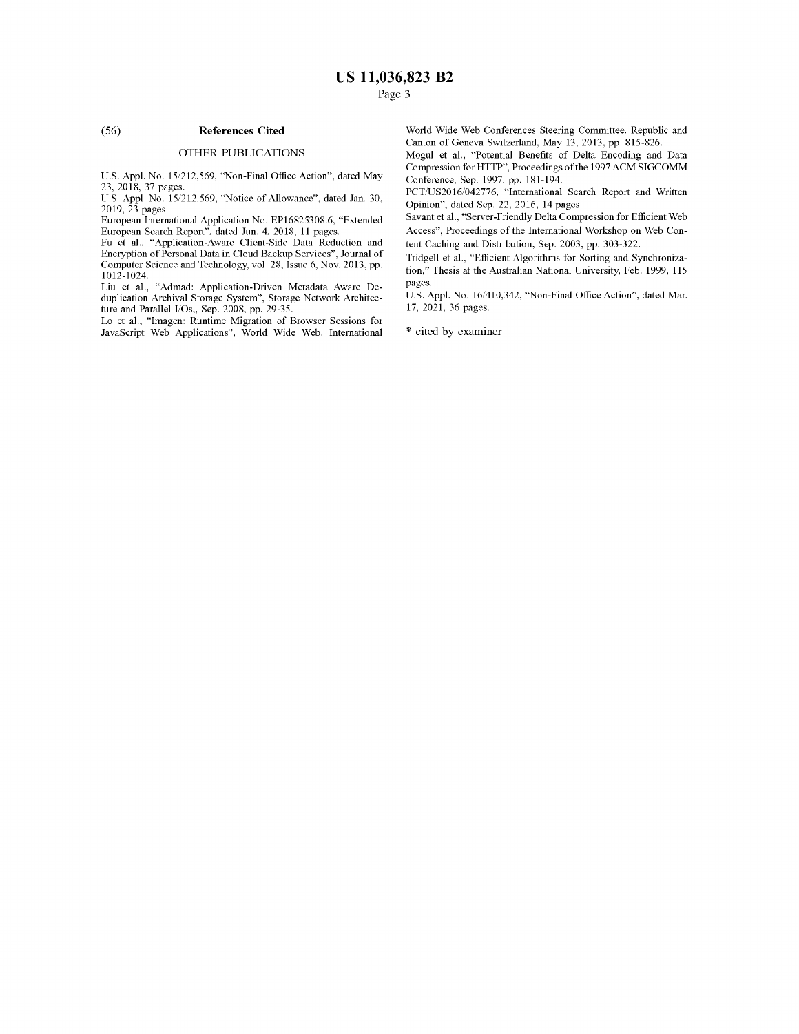### (56) **References Cited**

### OTHER PUBLICATIONS

U.S. Appl. No. 15/212,569, "Non-Final Office Action", dated May 23, 2018, 37 pages.

U.S. Appl. No. 15/212,569, "Notice of Allowance", dated Jan. 30, 2019, 23 pages.

European International Application No. EP16825308.6, "Extended European Search Report", dated Jun. 4, 2018, 11 pages.

Fu et al., "Application-Aware Client-Side Data Reduction and Encryption of Personal Data in Cloud Backup Services", Journal of Computer Science and Technology, vol. 28, Issue 6, Nov. 2013, pp. 1012-1024.

Liu et al., "Admad: Application-Driven Metadata Aware Deduplication Archival Storage System", Storage Network Architecture and Parallel I/Os,, Sep. 2008, pp. 29-35.

Lo et al., "Imagen: Runtime Migration of Browser Sessions for JavaScript Web Applications", World Wide Web. International World Wide Web Conferences Steering Committee. Republic and Canton of Geneva Switzerland, May 13, 2013, pp. 815-826.

Mogul et al., "Potential Benefits of Delta Encoding and Data Compression for HTTP", Proceedings of the 1997 ACM SIGCOMM Conference, Sep. 1997, pp. 181-194.

PCT/US2016/042776, "International Search Report and Written Opinion", dated Sep. 22, 2016, 14 pages.

Savant et al., "Server-Friendly Delta Compression for Efficient Web Access", Proceedings of the International Workshop on Web Content Caching and Distribution, Sep. 2003, pp. 303-322.

Tridgell et al., "Efficient Algorithms for Sorting and Synchronization," Thesis at the Australian National University, Feb. 1999, 115 pages.

U.S. Appl. No. 16/410,342, "Non-Final Office Action", dated Mar. 17, 2021, 36 pages.

\* cited by examiner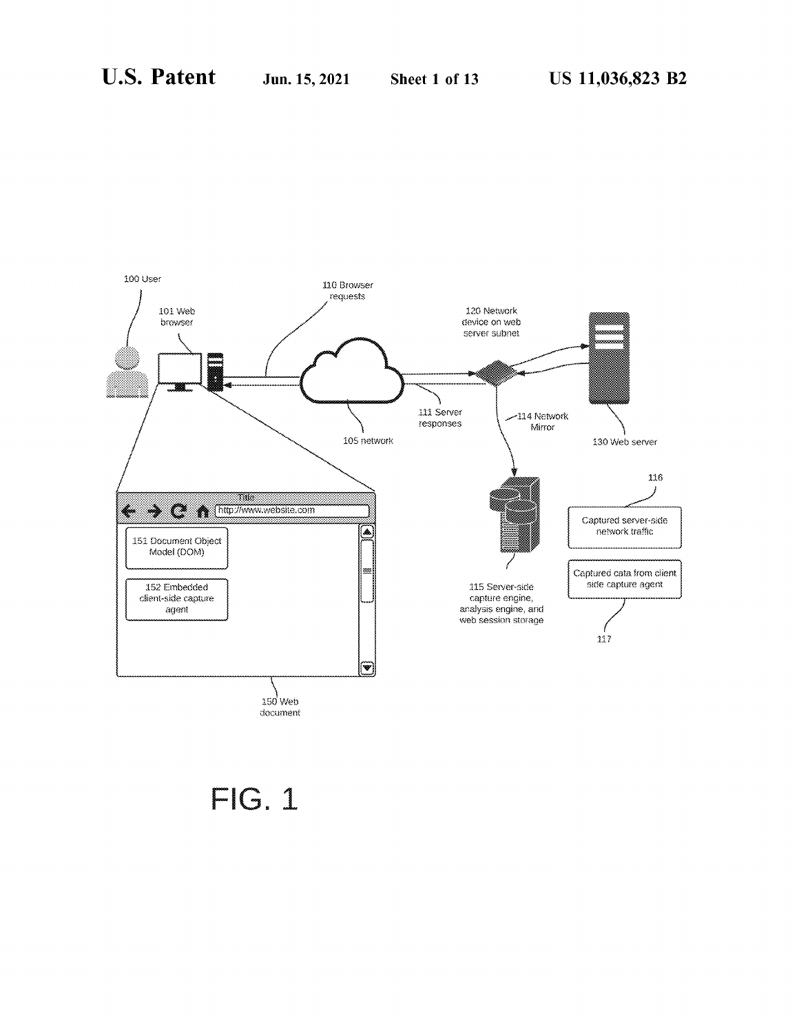

**FIG. 1**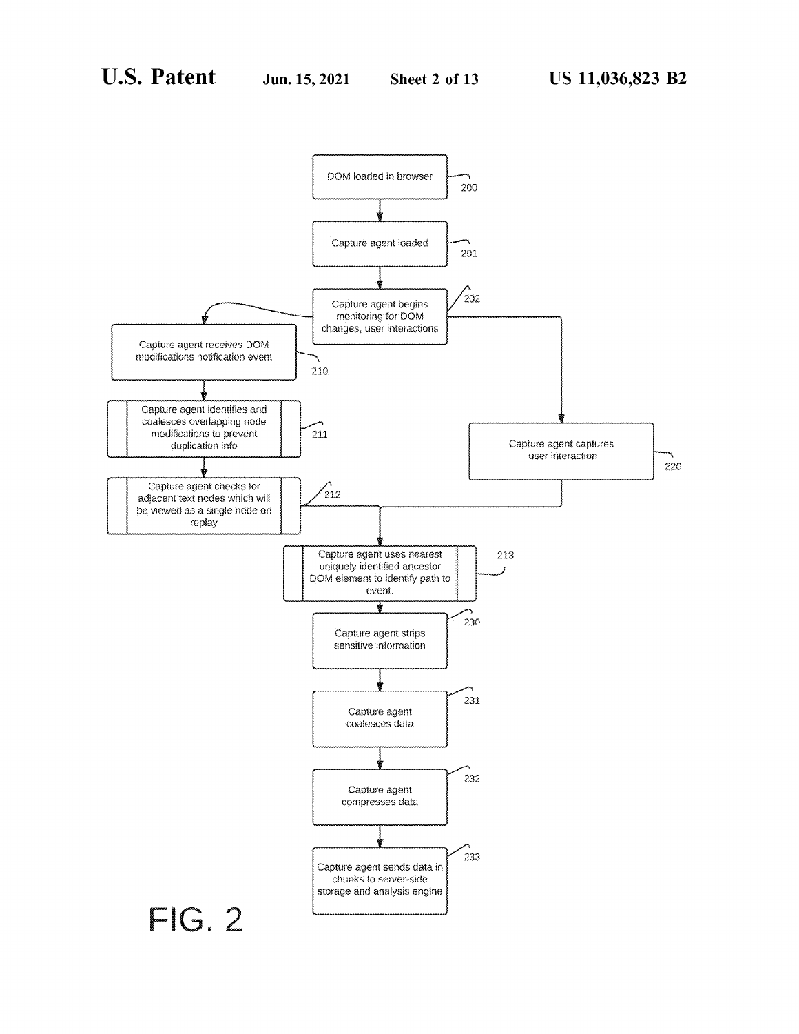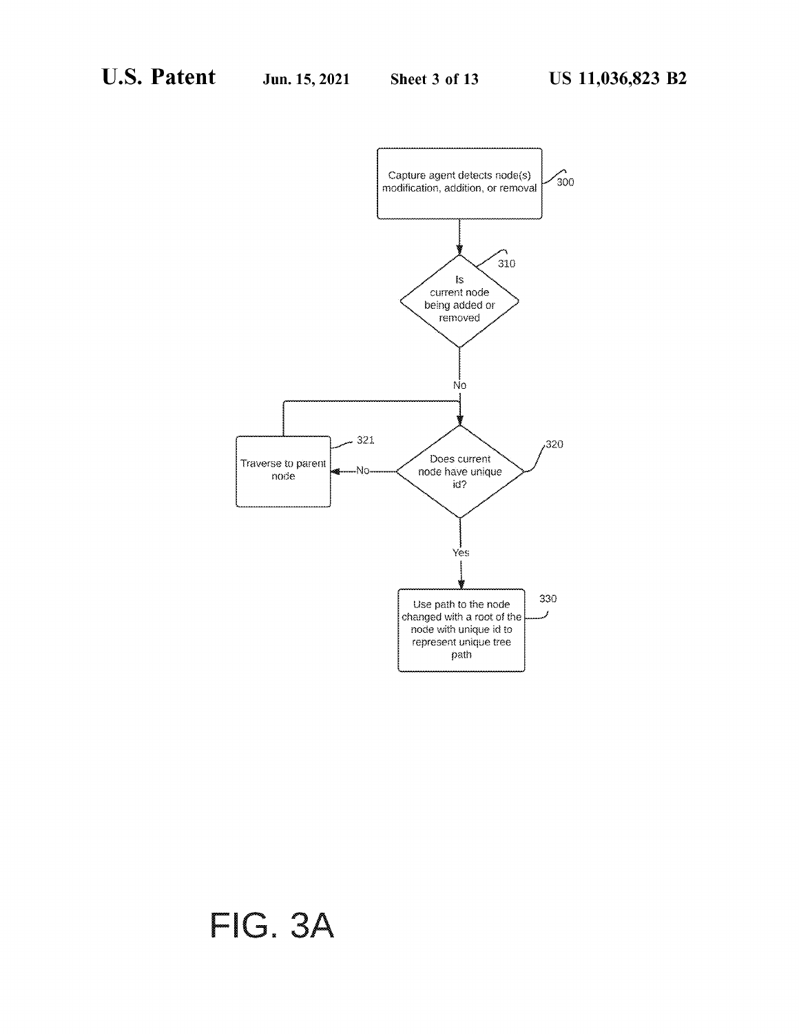

# **FIG. 3A**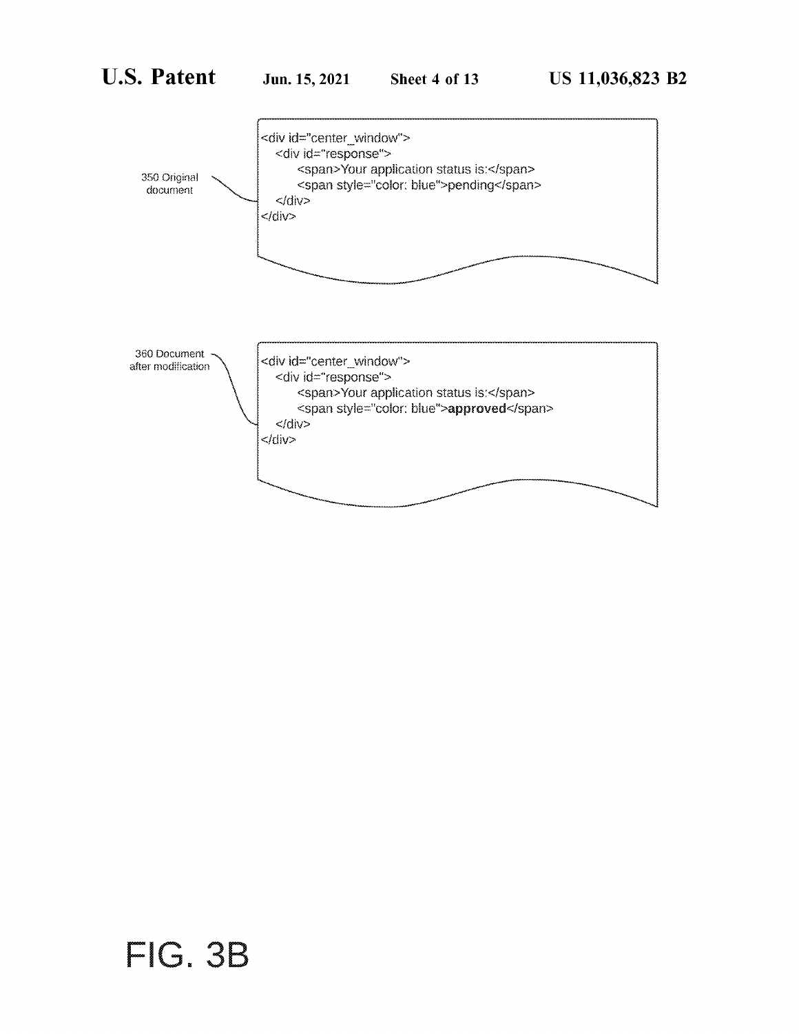

# **FIG. 3B**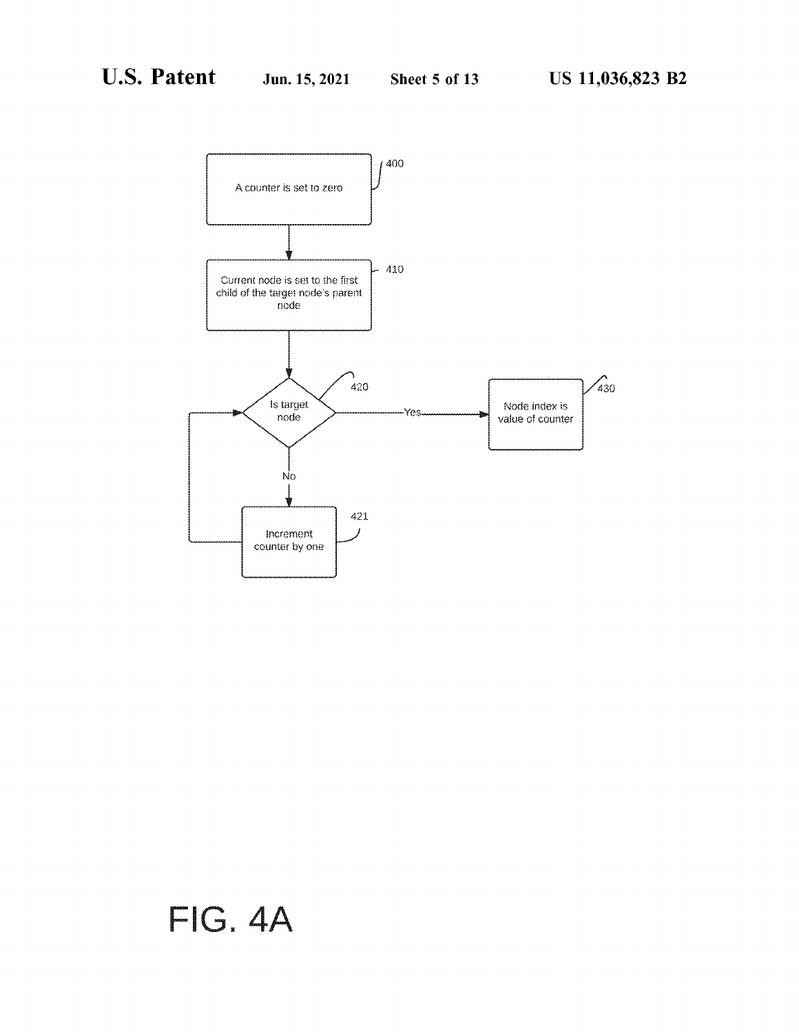

## FIG. 4A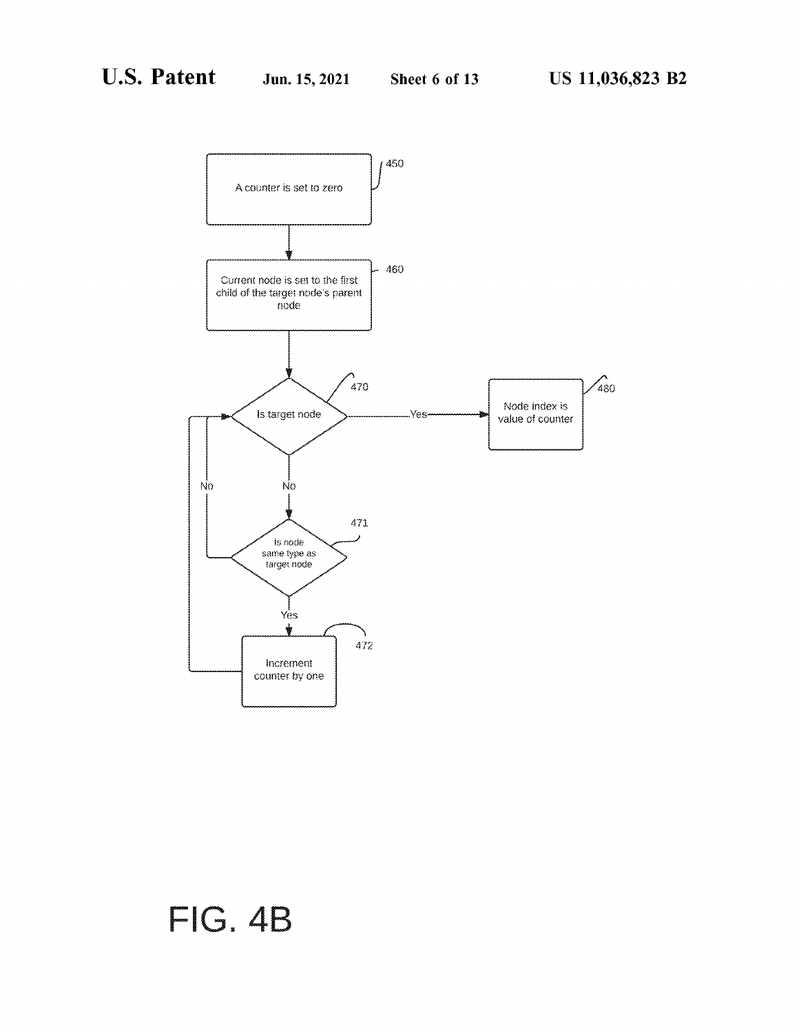

## **FIG. 4B**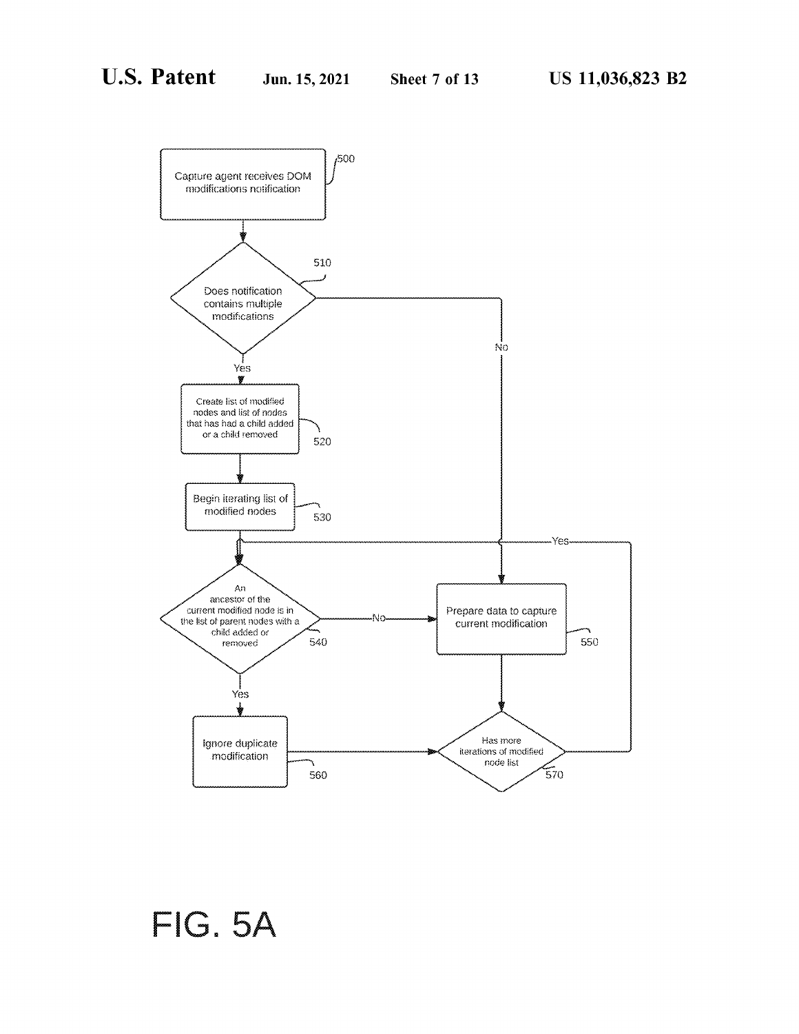

# **FIG. SA**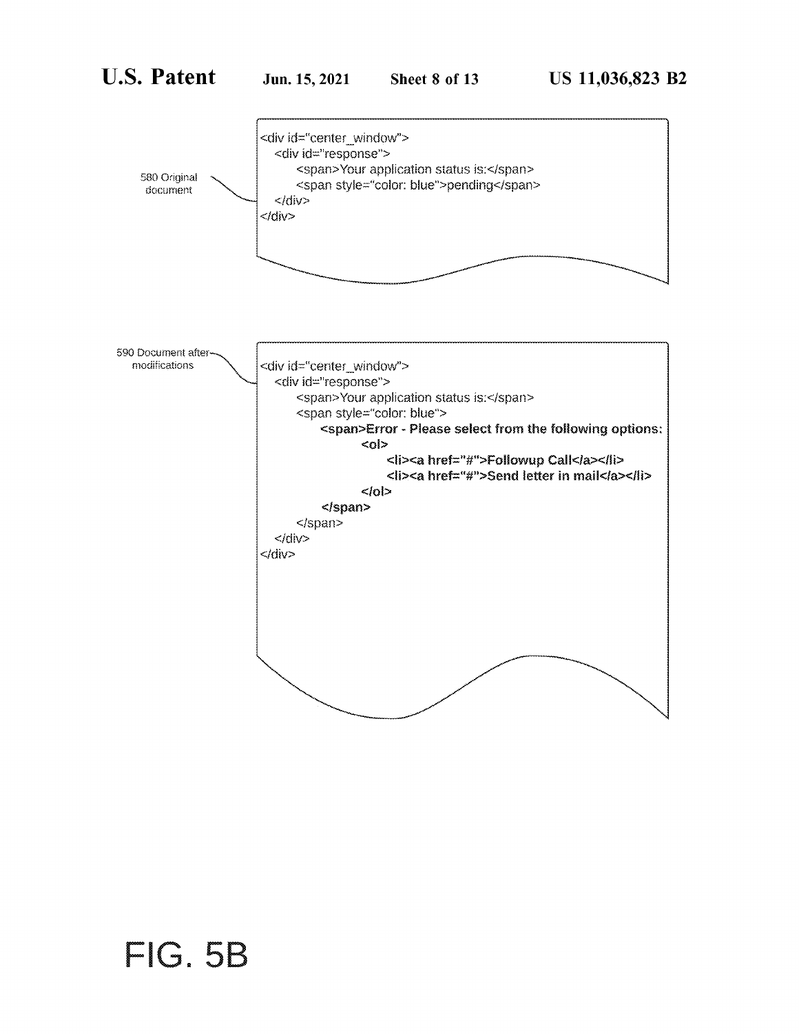

# **FIG. 5B**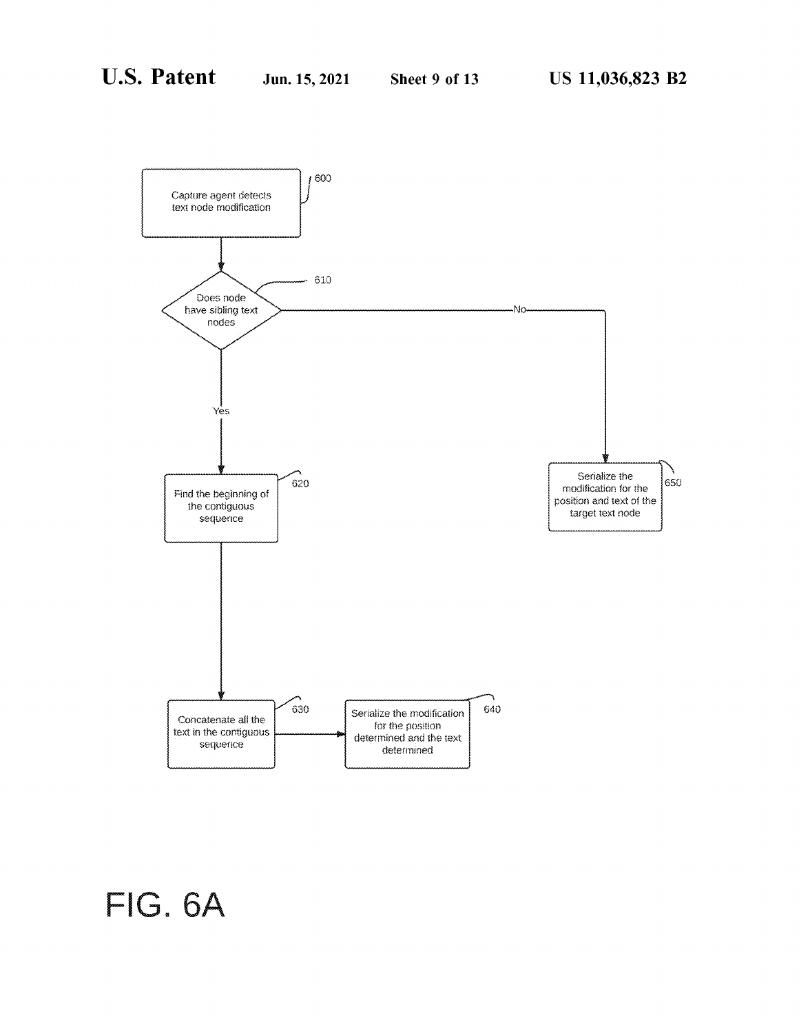

**FIG. 6A**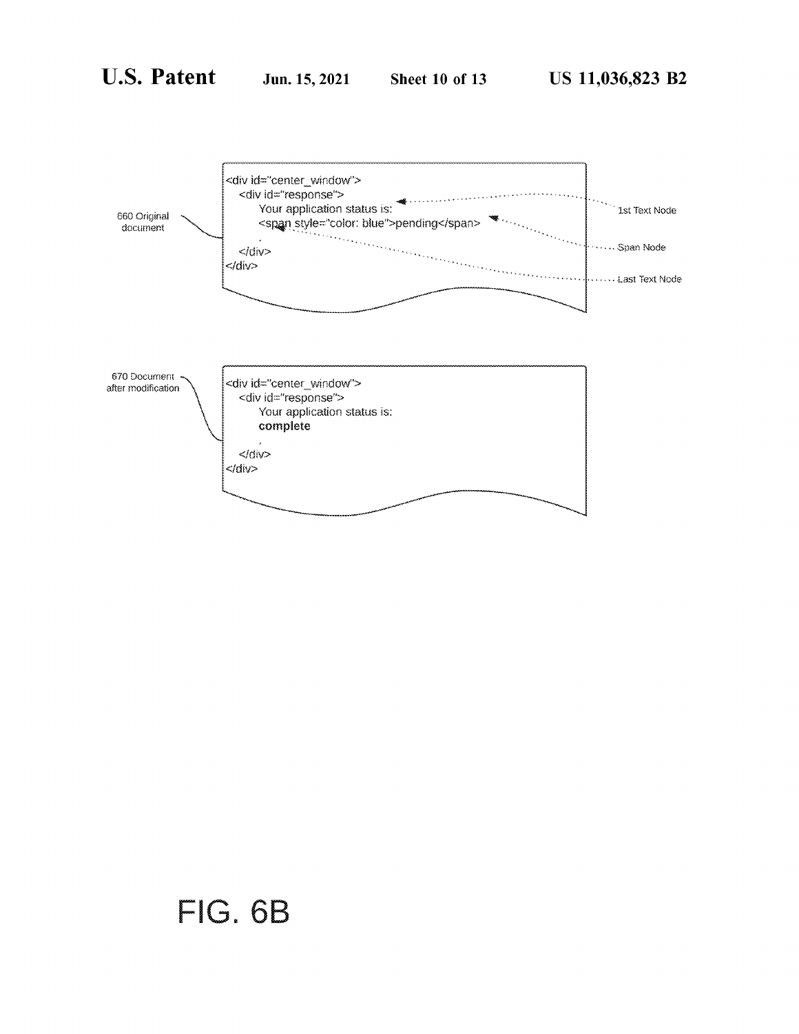

## **FIG. 6B**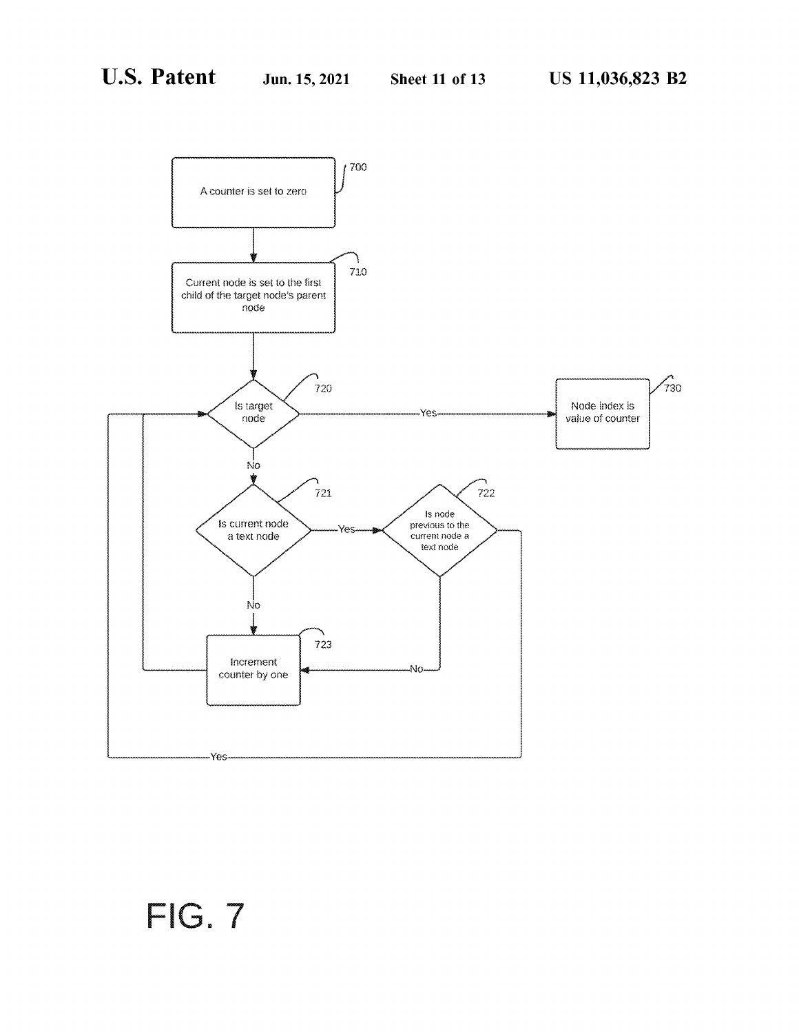

# **FIG. 7**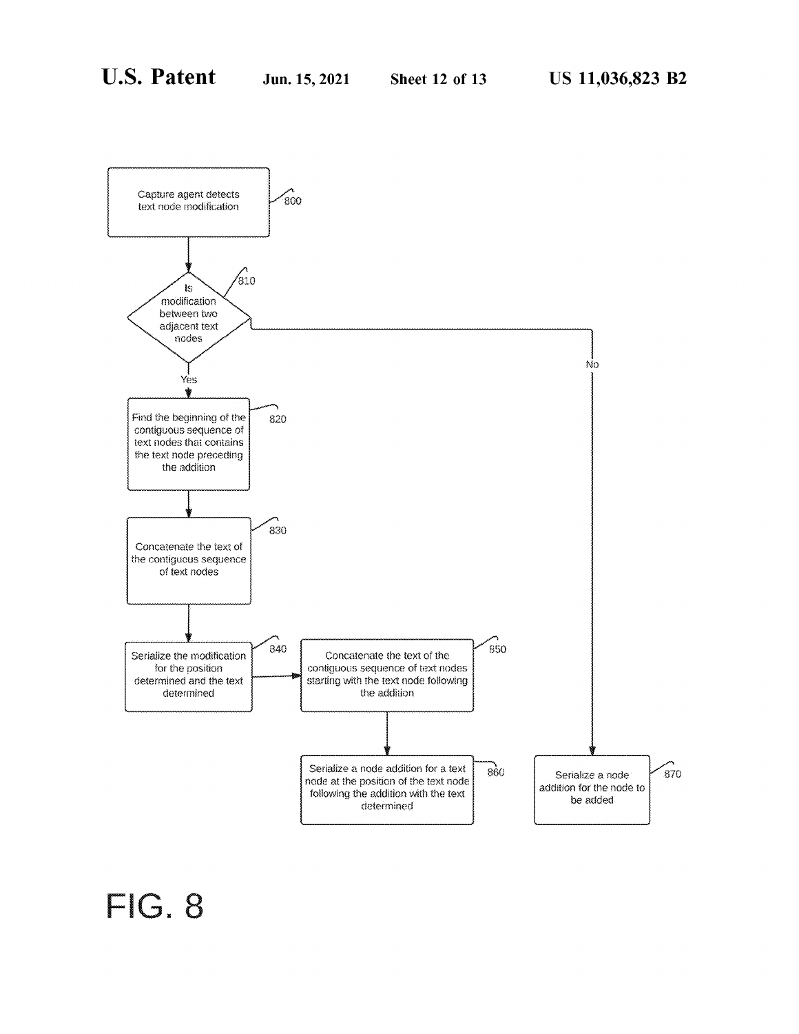

**FIG. 8**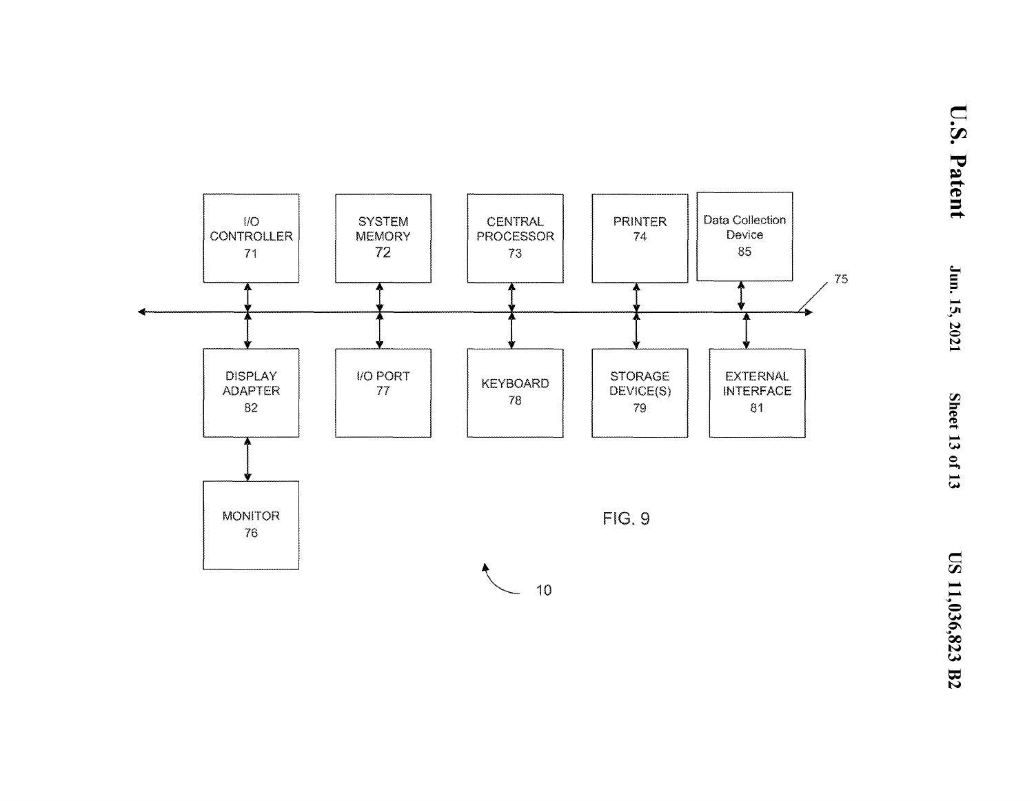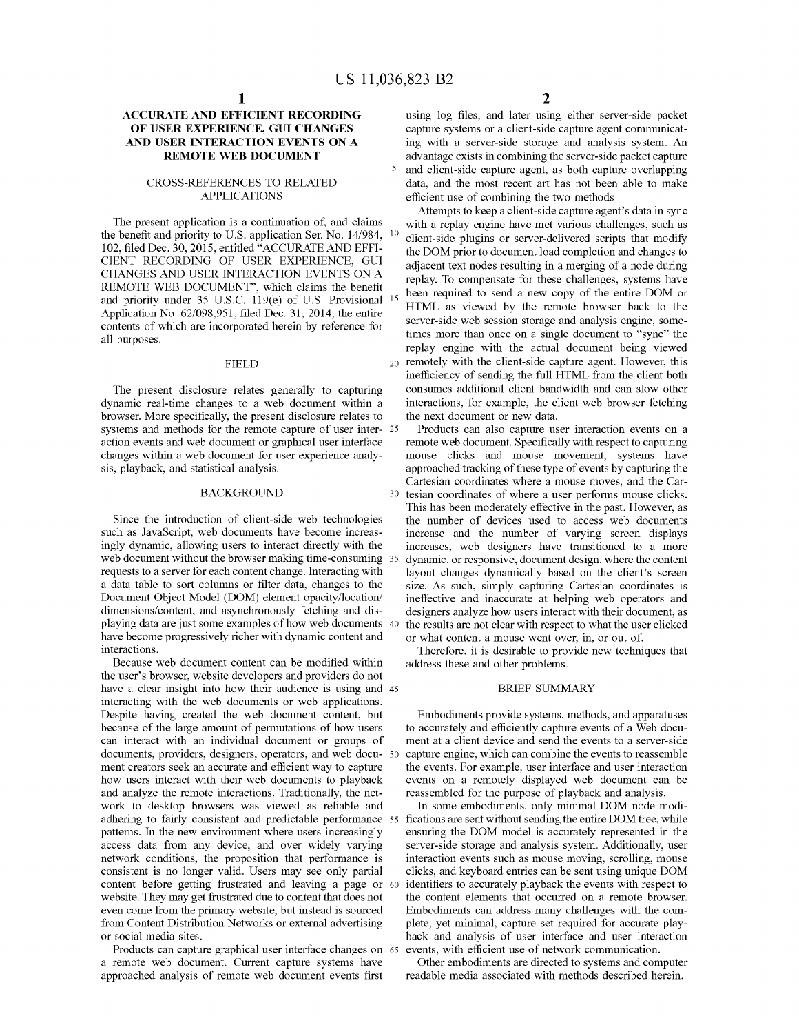### **ACCURATE AND EFFICIENT RECORDING OF USER EXPERIENCE, GUI CHANGES AND USER INTERACTION EVENTS ON A REMOTE WEB DOCUMENT**

### CROSS-REFERENCES TO RELATED APPLICATIONS

The present application is a continuation of, and claims the benefit and priority to U.S. application Ser. No. 14/984, <sup>10</sup> 102, filed Dec. 30, 2015, entitled "ACCURATE AND EFFI-CIENT RECORDING OF USER EXPERIENCE, GUI CHANGES AND USER INTERACTION EVENTS ON A REMOTE WEB DOCUMENT", which claims the benefit and priority under 35 U.S.C. 119(e) of U.S. Provisional Application No. 62/098,951, filed Dec. 31, 2014, the entire contents of which are incorporated herein by reference for all purposes.

The present disclosure relates generally to capturing dynamic real-time changes to a web document within a browser. More specifically, the present disclosure relates to systems and methods for the remote capture of user inter- <sup>25</sup> action events and web document or graphical user interface changes within a web document for user experience analysis, playback, and statistical analysis.

Since the introduction of client-side web technologies such as JavaScript, web documents have become increasingly dynamic, allowing users to interact directly with the web document without the browser making time-consuming 35 requests to a server for each content change. Interacting with a data table to sort colunms or filter data, changes to the Document Object Model (DOM) element opacity/location/ dimensions/content, and asynchronously fetching and displaying data are just some examples of how web documents 40 have become progressively richer with dynamic content and interactions.

Because web document content can be modified within the user's browser, website developers and providers do not have a clear insight into how their audience is using and 45 interacting with the web documents or web applications. Despite having created the web document content, but because of the large amount of permutations of how users can interact with an individual document or groups of documents, providers, designers, operators, and web docu- 50 ment creators seek an accurate and efficient way to capture how users interact with their web documents to playback and analyze the remote interactions. Traditionally, the network to desktop browsers was viewed as reliable and adhering to fairly consistent and predictable performance 55 fications are sent without sending the entire DOM tree, while patterns. In the new environment where users increasingly access data from any device, and over widely varying network conditions, the proposition that performance is consistent is no longer valid. Users may see only partial content before getting frustrated and leaving a page or 60 website. They may get frustrated due to content that does not even come from the primary website, but instead is sourced from Content Distribution Networks or external advertising or social media sites.

Products can capture graphical user interface changes on 65 a remote web document. Current capture systems have approached analysis of remote web document events first

using log files, and later using either server-side packet capture systems or a client-side capture agent communicating with a server-side storage and analysis system. An advantage exists in combining the server-side packet capture 5 and client-side capture agent, as both capture overlapping data, and the most recent art has not been able to make efficient use of combining the two methods

Attempts to keep a client-side capture agent's data in sync with a replay engine have met various challenges, such as client-side plugins or server-delivered scripts that modify the DOM prior to document load completion and changes to adjacent text nodes resulting in a merging of a node during replay. To compensate for these challenges, systems have been required to send a new copy of the entire DOM or HTML as viewed by the remote browser back to the server-side web session storage and analysis engine, sometimes more than once on a single document to "sync" the replay engine with the actual document being viewed FIELD 20 remotely with the client-side capture agent. However, this inefficiency of sending the full HTML from the client both consumes additional client bandwidth and can slow other interactions, for example, the client web browser fetching the next document or new data.

Products can also capture user interaction events on a remote web document. Specifically with respect to capturing mouse clicks and mouse movement, systems have approached tracking of these type of events by capturing the Cartesian coordinates where a mouse moves, and the Car-BACKGROUND <sup>30</sup> tesian coordinates of where a user performs mouse clicks. This has been moderately effective in the past. However, as the number of devices used to access web documents increase and the number of varying screen displays increases, web designers have transitioned to a more dynamic, or responsive, document design, where the content layout changes dynamically based on the client's screen size. As such, simply capturing Cartesian coordinates is ineffective and inaccurate at helping web operators and designers analyze how users interact with their document, as the results are not clear with respect to what the user clicked or what content a mouse went over, in, or out of.

> Therefore, it is desirable to provide new techniques that address these and other problems.

### BRIEF SUMMARY

Embodiments provide systems, methods, and apparatuses to accurately and efficiently capture events of a Web document at a client device and send the events to a server-side capture engine, which can combine the events to reassemble the events. For example, user interface and user interaction events on a remotely displayed web document can be reassembled for the purpose of playback and analysis.

In some embodiments, only minimal DOM node modiensuring the DOM model is accurately represented in the server-side storage and analysis system. Additionally, user interaction events such as mouse moving, scrolling, mouse clicks, and keyboard entries can be sent using unique DOM identifiers to accurately playback the events with respect to the content elements that occurred on a remote browser. Embodiments can address many challenges with the complete, yet minimal, capture set required for accurate playback and analysis of user interface and user interaction events, with efficient use of network communication.

Other embodiments are directed to systems and computer readable media associated with methods described herein.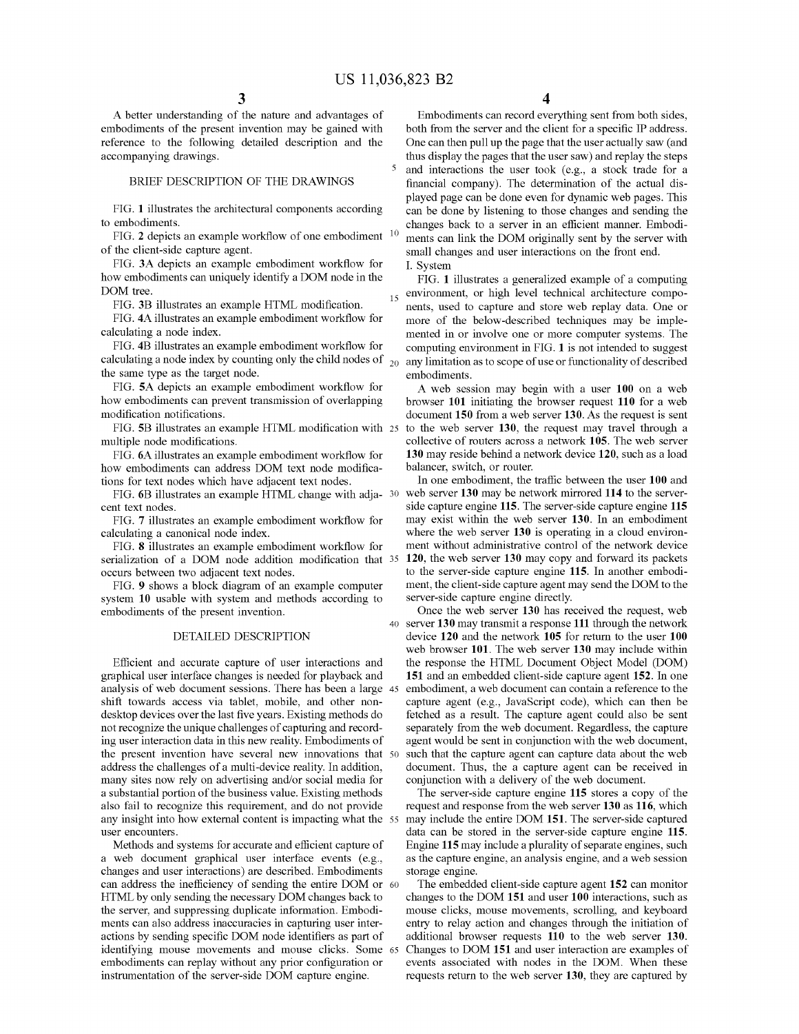A better understanding of the nature and advantages of embodiments of the present invention may be gained with reference to the following detailed description and the accompanying drawings.

### BRIEF DESCRIPTION OF THE DRAWINGS

FIG. **1** illustrates the architectural components according to embodiments.

FIG. 2 depicts an example workflow of one embodiment <sup>10</sup> of the client-side capture agent.

FIG. **3A** depicts an example embodiment workflow for how embodiments can uniquely identify a DOM node in the DOM tree.

FIG. **3B** illustrates an example HTML modification.

FIG. **4A** illustrates an example embodiment workflow for calculating a node index.

FIG. **4B** illustrates an example embodiment workflow for calculating a node index by counting only the child nodes of  $_{20}$ the same type as the target node.

FIG. **SA** depicts an example embodiment workflow for how embodiments can prevent transmission of overlapping modification notifications.

FIG. **5B** illustrates an example HTML modification with 25 multiple node modifications.

FIG. **6A** illustrates an example embodiment workflow for how embodiments can address DOM text node modifications for text nodes which have adjacent text nodes.

FIG. **6B** illustrates an example HTML change with adjacent text nodes.

FIG. **7** illustrates an example embodiment workflow for calculating a canonical node index.

FIG. **8** illustrates an example embodiment workflow for serialization of a DOM node addition modification that <sup>35</sup> occurs between two adjacent text nodes.

FIG. **9** shows a block diagram of an example computer system **10** usable with system and methods according to embodiments of the present invention.

### DETAILED DESCRIPTION

Efficient and accurate capture of user interactions and graphical user interface changes is needed for playback and analysis of web document sessions. There has been a large shift towards access via tablet, mobile, and other nondesktop devices over the last five years. Existing methods do not recognize the unique challenges of capturing and recording user interaction data in this new reality. Embodiments of the present invention have several new innovations that 50 address the challenges of a multi-device reality. In addition, many sites now rely on advertising and/or social media for a substantial portion of the business value. Existing methods also fail to recognize this requirement, and do not provide any insight into how external content is impacting what the 55 user encounters.

Methods and systems for accurate and efficient capture of a web document graphical user interface events (e.g., as the capture engine, an analysis engine, and a web session changes and user interactions) are described. Embodiments can address the inefficiency of sending the entire DOM or 60 HTML by only sending the necessary DOM changes back to the server, and suppressing duplicate information. Embodiments can also address inaccuracies in capturing user interactions by sending specific DOM node identifiers as part of identifying mouse movements and mouse clicks. Some 65 embodiments can replay without any prior configuration or instrumentation of the server-side DOM capture engine.

**4** 

Embodiments can record everything sent from both sides, both from the server and the client for a specific IP address. One can then pull up the page that the user actually saw ( and thus display the pages that the user saw) and replay the steps 5 and interactions the user took (e.g., a stock trade for a financial company). The determination of the actual displayed page can be done even for dynamic web pages. This can be done by listening to those changes and sending the changes back to a server in an efficient manner. Embodiments can link the DOM originally sent by the server with small changes and user interactions on the front end. I. System

FIG. **1** illustrates a generalized example of a computing 15 environment, or high level technical architecture components, used to capture and store web replay data. One or more of the below-described techniques may be implemented in or involve one or more computer systems. The computing environment in FIG. **1** is not intended to suggest any limitation as to scope of use or functionality of described embodiments.

A web session may begin with a user **100** on a web browser **101** initiating the browser request **110** for a web document **150** from a web server **130.** As the request is sent to the web server **130,** the request may travel through a collective of routers across a network **105.** The web server **130** may reside behind a network device **120,** such as a load balancer, switch, or router.

In one embodiment, the traffic between the user **100** and web server 130 may be network mirrored 114 to the serverside capture engine **115.** The server-side capture engine **115**  may exist within the web server **130.** In an embodiment where the web server **130** is operating in a cloud environment without administrative control of the network device 35 **120,** the web server **130** may copy and forward its packets to the server-side capture engine **115.** In another embodiment, the client-side capture agent may send the DOM to the server-side capture engine directly.

Once the web server **130** has received the request, web 40 server **130** may transmit a response **111** through the network device **120** and the network **105** for return to the user **100**  web browser **101.** The web server **130** may include within the response the HTML Document Object Model (DOM) **151** and an embedded client-side capture agent **152.** In one embodiment, a web document can contain a reference to the capture agent (e.g., JavaScript code), which can then be fetched as a result. The capture agent could also be sent separately from the web document. Regardless, the capture agent would be sent in conjunction with the web document, such that the capture agent can capture data about the web document. Thus, the a capture agent can be received in conjunction with a delivery of the web document.

The server-side capture engine **115** stores a copy of the request and response from the web server **130 as 116,** which 55 may include the entire DOM **151.** The server-side captured data can be stored in the server-side capture engine **115.**  Engine **115** may include a plurality of separate engines, such storage engine.

The embedded client-side capture agent **152** can monitor changes to the DOM **151** and user **100** interactions, such as mouse clicks, mouse movements, scrolling, and keyboard entry to relay action and changes through the initiation of additional browser requests **110** to the web server **130.**  65 Changes to DOM **151** and user interaction are examples of events associated with nodes in the DOM. When these requests return to the web server **130,** they are captured by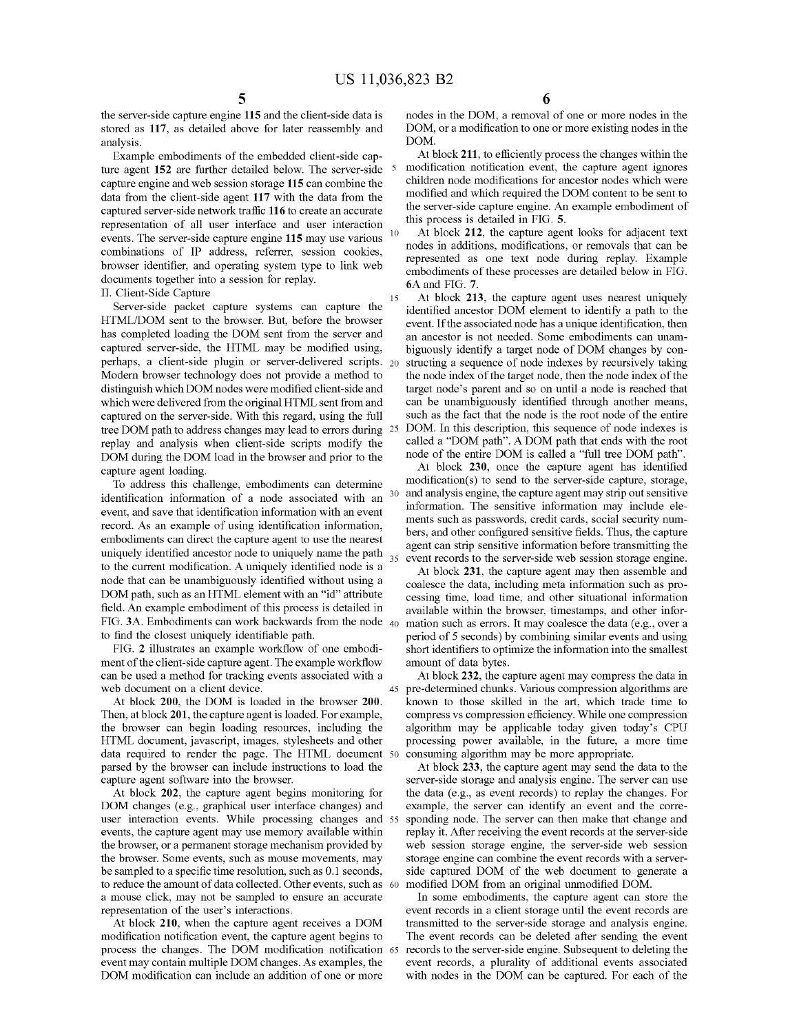the server-side capture engine **115** and the client-side data is stored as **117,** as detailed above for later reassembly and analysis.

Example embodiments of the embedded client-side capture agent 152 are further detailed below. The server-side capture engine and web session storage **115** can combine the data from the client-side agent **117** with the data from the captured server-side network traffic **116** to create an accurate representation of all user interface and user interaction events. The server-side capture engine 115 may use various <sup>10</sup> combinations of IP address, referrer, session cookies, browser identifier, and operating system type to link web documents together into a session for replay.

II. Client-Side Capture 15

Server-side packet capture systems can capture the HTML/DOM sent to the browser. But, before the browser has completed loading the DOM sent from the server and captured server-side, the HTML may be modified using, perhaps, a client-side plugin or server-delivered scripts. 20 Modern browser technology does not provide a method to distinguish which DOM nodes were modified client-side and which were delivered from the original HTML sent from and captured on the server-side. With this regard, using the full tree DOM path to address changes may lead to errors during 25 replay and analysis when client-side scripts modify the DOM during the DOM load in the browser and prior to the capture agent loading.

To address this challenge, embodiments can determine identification information of a node associated with an event, and save that identification information with an event record. As an example of using identification information, embodiments can direct the capture agent to use the nearest uniquely identified ancestor node to uniquely name the path to the current modification. A uniquely identified node is a node that can be unambiguously identified without using a DOM path, such as an HTML element with an "id" attribute field. An example embodiment of this process is detailed in FIG. **3A**. Embodiments can work backwards from the node <sub>40</sub> to find the closest uniquely identifiable path.

FIG. **2** illustrates an example workflow of one embodiment of the client-side capture agent. The example workflow can be used a method for tracking events associated with a web document on a client device.

At block **200,** the DOM is loaded in the browser **200.**  Then, at block **201,** the capture agent is loaded. For example, the browser can begin loading resources, including the HTML document, javascript, images, stylesheets and other data required to render the page. The HTML document 50 parsed by the browser can include instructions to load the capture agent software into the browser.

At block **202,** the capture agent begins monitoring for DOM changes (e.g., graphical user interface changes) and user interaction events. While processing changes and 55 events, the capture agent may use memory available within the browser, or a permanent storage mechanism provided by the browser. Some events, such as mouse movements, may be sampled to a specific time resolution, such as 0.1 seconds, to reduce the amount of data collected. Other events, such as 60 a mouse click, may not be sampled to ensure an accurate representation of the user's interactions.

At block **210,** when the capture agent receives a DOM modification notification event, the capture agent begins to process the changes. The DOM modification notification event may contain multiple DOM changes. As examples, the DOM modification can include an addition of one or more

nodes in the DOM, a removal of one or more nodes in the DOM, or a modification to one or more existing nodes in the DOM.

At block **211,** to efficiently process the changes within the modification notification event, the capture agent ignores children node modifications for ancestor nodes which were modified and which required the DOM content to be sent to the server-side capture engine. An example embodiment of this process is detailed in FIG. **5.** 

At block **212,** the capture agent looks for adjacent text nodes in additions, modifications, or removals that can be represented as one text node during replay. Example embodiments of these processes are detailed below in FIG. **6A** and FIG. **7.** 

At block **213,** the capture agent uses nearest uniquely identified ancestor DOM element to identify a path to the event. If the associated node has a unique identification, then an ancestor is not needed. Some embodiments can unambiguously identify a target node of DOM changes by constructing a sequence of node indexes by recursively taking the node index of the target node, then the node index of the target node's parent and so on until a node is reached that can be unambiguously identified through another means, such as the fact that the node is the root node of the entire DOM. In this description, this sequence of node indexes is called a "DOM path". A DOM path that ends with the root node of the entire DOM is called a "full tree DOM path".

At block **230,** once the capture agent has identified modification(s) to send to the server-side capture, storage, and analysis engine, the capture agent may strip out sensitive information. The sensitive information may include elements such as passwords, credit cards, social security numbers, and other configured sensitive fields. Thus, the capture agent can strip sensitive information before transmitting the 35 event records to the server-side web session storage engine.

At block **231,** the capture agent may then assemble and coalesce the data, including meta information such as processing time, load time, and other situational information available within the browser, timestamps, and other information such as errors. It may coalesce the data (e.g., over a period of 5 seconds) by combining similar events and using short identifiers to optimize the information into the smallest amount of data bytes.

At block **232,** the capture agent may compress the data in 45 pre-determined chunks. Various compression algorithms are known to those skilled in the art, which trade time to compress vs compression efficiency. While one compression algorithm may be applicable today given today's CPU processing power available, in the future, a more time consuming algorithm may be more appropriate.

At block **233,** the capture agent may send the data to the server-side storage and analysis engine. The server can use the data (e.g., as event records) to replay the changes. For example, the server can identify an event and the corresponding node. The server can then make that change and replay it. After receiving the event records at the server-side web session storage engine, the server-side web session storage engine can combine the event records with a serverside captured DOM of the web document to generate a modified DOM from an original unmodified DOM.

In some embodiments, the capture agent can store the event records in a client storage until the event records are transmitted to the server-side storage and analysis engine. The event records can be deleted after sending the event records to the server-side engine. Subsequent to deleting the event records, a plurality of additional events associated with nodes in the DOM can be captured. For each of the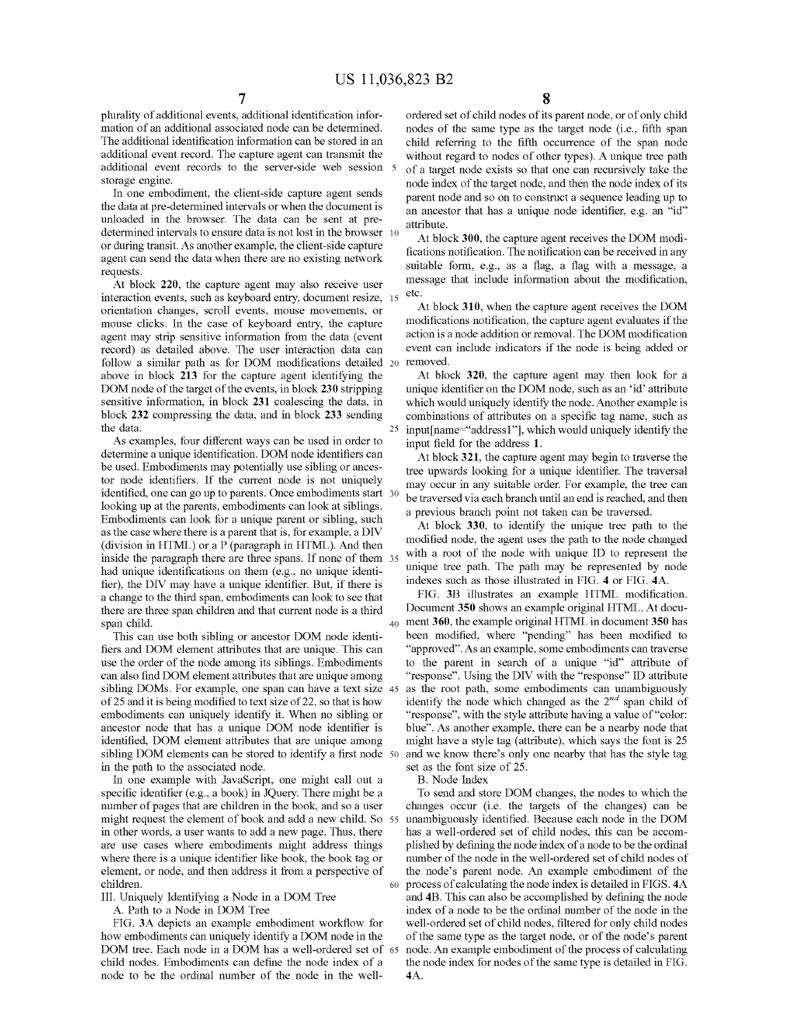plurality of additional events, additional identification information of an additional associated node can be determined. The additional identification information can be stored in an additional event record. The capture agent can transmit the additional event records to the server-side web session 5 storage engine.

In one embodiment, the client-side capture agent sends the data at pre-determined intervals or when the document is unloaded in the browser. The data can be sent at predetermined intervals to ensure data is not lost in the browser 10 or during transit. As another example, the client-side capture agent can send the data when there are no existing network requests.

At block **220,** the capture agent may also receive user interaction events, such as keyboard entry, document resize, 15 orientation changes, scroll events, mouse movements, or mouse clicks. In the case of keyboard entry, the capture agent may strip sensitive information from the data (event record) as detailed above. The user interaction data can follow a similar path as for DOM modifications detailed 20 above in block **213** for the capture agent identifying the DOM node of the target of the events, in block **230** stripping sensitive information, in block **231** coalescing the data, in block **232** compressing the data, and in block **233** sending

As examples, four different ways can be used in order to input field for the address 1. determine a unique identification. DOM node identifiers can be used. Embodiments may potentially use sibling or ancestor node identifiers. If the current node is not uniquely identified, one can go up to parents. Once embodiments start 30 looking up at the parents, embodiments can look at siblings. Embodiments can look for a unique parent or sibling, such as the case where there is a parent that is, for example, a DIV (division in HTML) or a P (paragraph in HTML). And then inside the paragraph there are three spans. If none of them 35 had unique identifications on them (e.g., no unique identifier), the DIV may have a unique identifier. But, if there is a change to the third span, embodiments can look to see that FIG. 3B illustrates an example HTML modification.<br>there are three span children and that current node is a third Document 350 shows an example original HTML. At there are three span children and that current node is a third

This can use both sibling or ancestor DOM node identifiers and DOM element attributes that are unique. This can use the order of the node among its siblings. Embodiments can also find DOM element attributes that are unique among sibling DOMs. For example, one span can have a text size 45 of 25 and it is being modified to text size of 22, so that is how embodiments can uniquely identify it. When no sibling or ancestor node that has a unique DOM node identifier is identified, DOM element attributes that are unique among sibling DOM elements can be stored to identify a first node 50 in the path to the associated node.

In one example with JavaScript, one might call out a specific identifier (e.g., a book) in JQuery. There might be a number of pages that are children in the book, and so a user might request the element of book and add a new child. So 55 in other words, a user wants to add a new page. Thus, there are use cases where embodiments might address things where there is a unique identifier like book, the book tag or element, or node, and then address it from a perspective of children. 60 process of calculating the node index is detailed in FIGS. **4A** 

III. Uniquely Identifying a Node in a DOM Tree

A. Path to a Node in DOM Tree

FIG. **3A** depicts an example embodiment workflow for how embodiments can uniquely identify a DOM node in the DOM tree. Each node in a DOM has a well-ordered set of 65 child nodes. Embodiments can define the node index of a node to be the ordinal number of the node in the well-

ordered set of child nodes of its parent node, or of only child nodes of the same type as the target node (i.e., fifth span child referring to the fifth occurrence of the span node without regard to nodes of other types). A unique tree path of a target node exists so that one can recursively take the node index of the target node, and then the node index of its parent node and so on to construct a sequence leading up to an ancestor that has a unique node identifier, e.g. an "id" attribute.

At block **300,** the capture agent receives the DOM modifications notification. The notification can be received in any suitable form, e.g., as a flag, a flag with a message, a message that include information about the modification, etc.

At block **310,** when the capture agent receives the DOM modifications notification, the capture agent evaluates if the action is a node addition or removal. The DOM modification event can include indicators if the node is being added or removed.

At block **320,** the capture agent may then look for a unique identifier on the DOM node, such as an 'id' attribute which would uniquely identify the node. Another example is combinations of attributes on a specific tag name, such as the data. 25 input [name="address1"], which would uniquely identify the

> At block **321,** the capture agent may begin to traverse the tree upwards looking for a unique identifier. The traversal may occur in any suitable order. For example, the tree can be traversed via each branch until an end is reached, and then a previous branch point not taken can be traversed.

> At block **330,** to identify the unique tree path to the modified node, the agent uses the path to the node changed with a root of the node with unique ID to represent the unique tree path. The path may be represented by node indexes such as those illustrated in FIG. **4** or FIG. **4A.**

FIG. **3B** illustrates an example HTML modification. span child. 40 ment **360,** the example original HTML in document **350** has been modified, where "pending" has been modified to "approved". As an example, some embodiments can traverse to the parent in search of a unique "id" attribute of "response". Using the DIV with the "response" ID attribute as the root path, some embodiments can unambiguously identify the node which changed as the  $2^{nd}$  span child of "response", with the style attribute having a value of"color: blue". As another example, there can be a nearby node that might have a style tag (attribute), which says the font is 25 and we know there's only one nearby that has the style tag set as the font size of 25.

B. Node Index

To send and store DOM changes, the nodes to which the changes occur (i.e. the targets of the changes) can be unambiguously identified. Because each node in the DOM has a well-ordered set of child nodes, this can be accomplished by defining the node index of a node to be the ordinal number of the node in the well-ordered set of child nodes of the node's parent node. An example embodiment of the and **4B.** This can also be accomplished by defining the node index of a node to be the ordinal number of the node in the well-ordered set of child nodes, filtered for only child nodes of the same type as the target node, or of the node's parent node. An example embodiment of the process of calculating the node index for nodes of the same type is detailed in FIG. **4A.**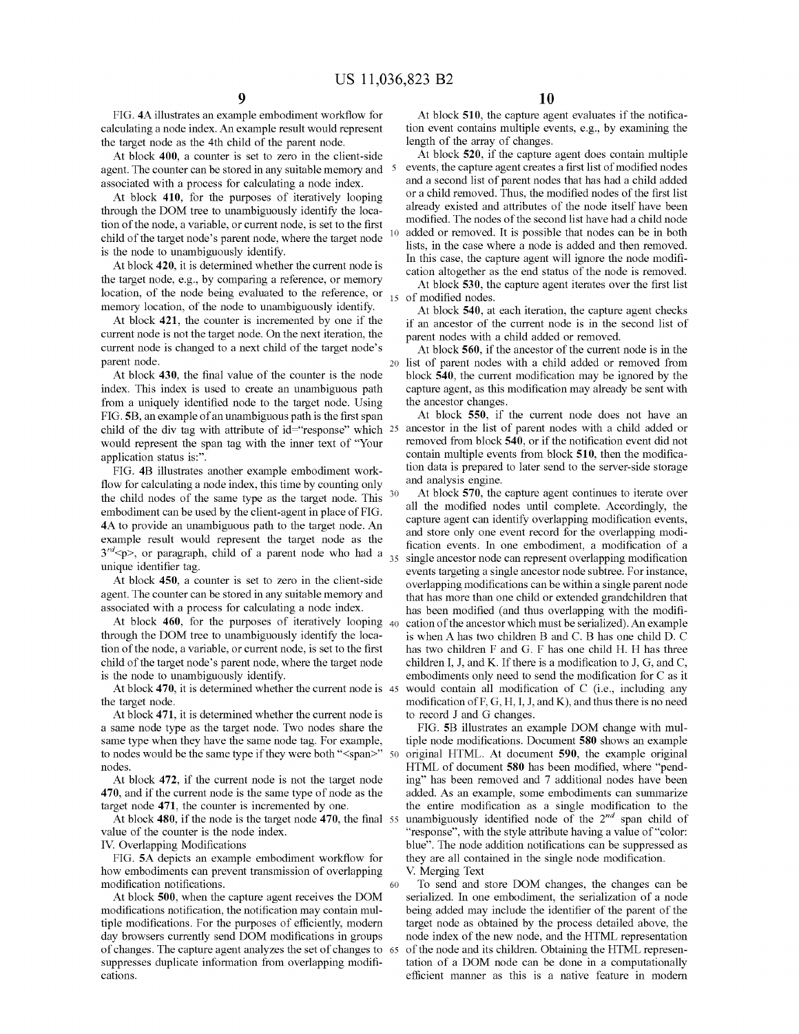FIG. **4A** illustrates an example embodiment workflow for calculating a node index. An example result would represent the target node as the 4th child of the parent node.

agent. The counter can be stored in any suitable memory and <sup>5</sup> associated with a process for calculating a node index.

At block **410,** for the purposes of iteratively looping through the DOM tree to unambiguously identify the location of the node, a variable, or current node, is set to the first child of the target node's parent node, where the target node is the node to unambiguously identify.

the target node, e.g., by comparing a reference, or memory location, of the node being evaluated to the reference, or 15 of modified nodes. memory location, of the node to unambiguously identify.

At block **421,** the counter is incremented by one if the current node is not the target node. On the next iteration, the current node is changed to a next child of the target node's

At block **430,** the final value of the counter is the node index. This index is used to create an unambiguous path from a uniquely identified node to the target node. Using FIG. **5B,** an example of an unambiguous path is the first span would represent the span tag with the inner text of "Your application status is:".

FIG. **4B** illustrates another example embodiment workflow for calculating a node index, this time by counting only the child nodes of the same type as the target node. This embodiment can be used by the client-agent in place of FIG. **4A** to provide an unambiguous path to the target node. An example result would represent the target node as the  $3^{rd}$   $\leq$   $p$ , or paragraph, child of a parent node who had a 35 unique identifier tag.

At block **450,** a counter is set to zero in the client-side agent. The counter can be stored in any suitable memory and associated with a process for calculating a node index.

At block **460,** for the purposes of iteratively looping 40 through the DOM tree to unambiguously identify the location of the node, a variable, or current node, is set to the first child of the target node's parent node, where the target node is the node to unambiguously identify.

At block **470,** it is determined whether the current node is 45 the target node.

At block **471,** it is determined whether the current node is a same node type as the target node. Two nodes share the same type when they have the same node tag. For example, to nodes would be the same type if they were both "<span>" 50 nodes.

At block **472,** if the current node is not the target node **470,** and if the current node is the same type of node as the target node **471,** the counter is incremented by one.

At block **480,** if the node is the target node **470,** the final 55 value of the counter is the node index.

IV. Overlapping Modifications

FIG. **SA** depicts an example embodiment workflow for how embodiments can prevent transmission of overlapping modification notifications.

At block **500,** when the capture agent receives the DOM modifications notification, the notification may contain multiple modifications. For the purposes of efficiently, modern day browsers currently send DOM modifications in groups of changes. The capture agent analyzes the set of changes to 65 suppresses duplicate information from overlapping modifications.

At block **510,** the capture agent evaluates if the notification event contains multiple events, e.g., by examining the length of the array of changes.

At block **400**, a counter is set to zero in the client-side At block **520**, if the capture agent does contain multiple 5 events, the capture agent creates a first list of modified nodes and a second list of parent nodes that has had a child added or a child removed. Thus, the modified nodes of the first list already existed and attributes of the node itself have been modified. The nodes of the second list have had a child node added or removed. It is possible that nodes can be in both lists, in the case where a node is added and then removed. In this case, the capture agent will ignore the node modifi-At block **420**, it is determined whether the current node is  $\frac{m}{\text{atan}}$  altogether as the end status of the node is removed. At block **530,** the capture agent iterates over the first list

At block **540,** at each iteration, the capture agent checks if an ancestor of the current node is in the second list of parent nodes with a child added or removed.

At block **560,** if the ancestor of the current node is in the parent node. 20 list of parent nodes with a child added or removed from block **540,** the current modification may be ignored by the capture agent, as this modification may already be sent with the ancestor changes.

child of the div tag with attribute of id="response" which 25 ancestor in the list of parent nodes with a child added or At block **550,** if the current node does not have an removed from block **540,** or if the notification event did not contain multiple events from block **510,** then the modification data is prepared to later send to the server-side storage and analysis engine.

> At block **570,** the capture agent continues to iterate over all the modified nodes until complete. Accordingly, the capture agent can identify overlapping modification events, and store only one event record for the overlapping modification events. In one embodiment, a modification of a single ancestor node can represent overlapping modification events targeting a single ancestor node subtree. For instance, overlapping modifications can be within a single parent node that has more than one child or extended grandchildren that has been modified (and thus overlapping with the modification of the ancestor which must be serialized). An example is when A has two children B and C. B has one child D. C has two children F and G. F has one child H. H has three children I, J, and K. If there is a modification to J, G, and C, embodiments only need to send the modification for C as it would contain all modification of C (i.e., including any modification ofF, G, H, I, J, and K), and thus there is no need to record J and G changes.

> FIG. **5B** illustrates an example DOM change with multiple node modifications. Document **580** shows an example original HTML. At document **590,** the example original HTML of document **580** has been modified, where "pending" has been removed and 7 additional nodes have been added. As an example, some embodiments can summarize the entire modification as a single modification to the unambiguously identified node of the  $2^{nd}$  span child of "response", with the style attribute having a value of "color: blue". The node addition notifications can be suppressed as they are all contained in the single node modification.

V. Merging Text

60

To send and store DOM changes, the changes can be serialized. In one embodiment, the serialization of a node being added may include the identifier of the parent of the target node as obtained by the process detailed above, the node index of the new node, and the HTML representation of the node and its children. Obtaining the HTML representation of a DOM node can be done in a computationally efficient manner as this is a native feature in modern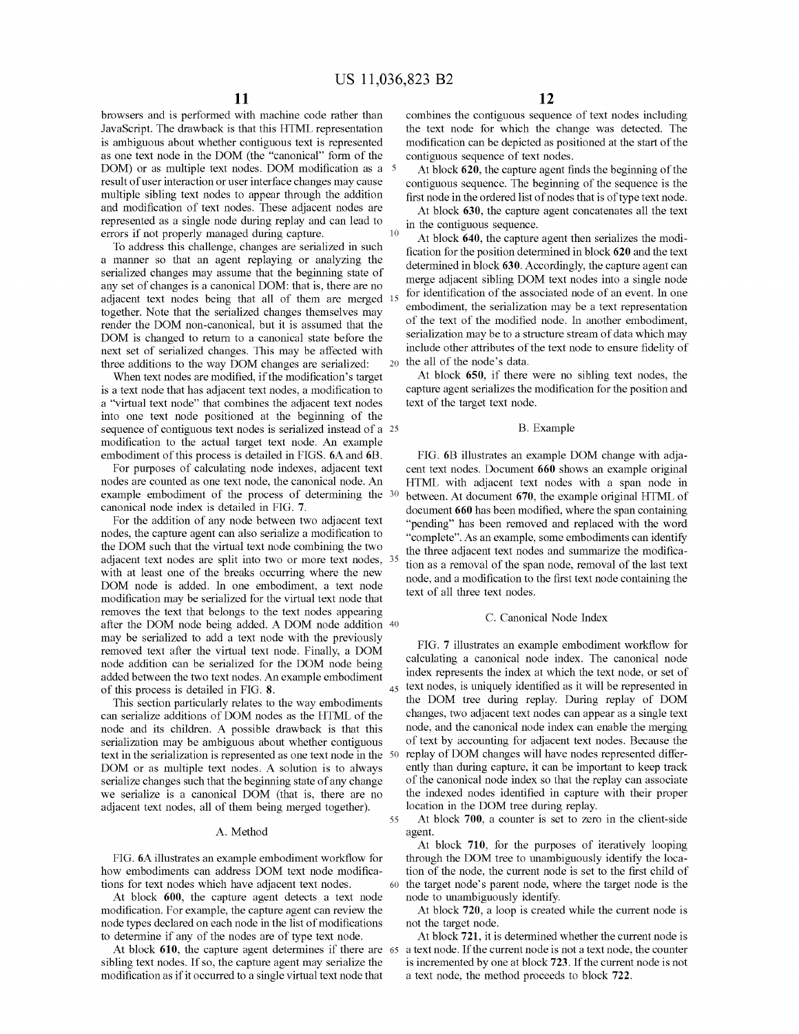55

browsers and is performed with machine code rather than JavaScript. The drawback is that this HTML representation is ambiguous about whether contiguous text is represented as one text node in the DOM (the "canonical" form of the DOM) or as multiple text nodes. DOM modification as a 5 result of user interaction or user interface changes may cause multiple sibling text nodes to appear through the addition and modification of text nodes. These adjacent nodes are represented as a single node during replay and can lead to errors if not properly managed during capture.

To address this challenge, changes are serialized in such a manner so that an agent replaying or analyzing the serialized changes may assume that the beginning state of any set of changes is a canonical DOM: that is, there are no adjacent text nodes being that all of them are merged 1: together. Note that the serialized changes themselves may render the DOM non-canonical, but it is assumed that the DOM is changed to return to a canonical state before the next set of serialized changes. This may be affected with three additions to the way DOM changes are serialized:

When text nodes are modified, if the modification's target is a text node that has adjacent text nodes, a modification to a "virtual text node" that combines the adjacent text nodes into one text node positioned at the beginning of the sequence of contiguous text nodes is serialized instead of a 25 modification to the actual target text node. An example embodiment of this process is detailed in FIGS. **6A** and **6B.** 

For purposes of calculating node indexes, adjacent text nodes are counted as one text node, the canonical node. An example embodiment of the process of determining the 30 canonical node index is detailed in FIG. **7.** 

adjacent text nodes are split into two or more text nodes, 35 For the addition of any node between two adjacent text nodes, the capture agent can also serialize a modification to the DOM such that the virtual text node combining the two with at least one of the breaks occurring where the new DOM node is added. In one embodiment, a text node modification may be serialized for the virtual text node that removes the text that belongs to the text nodes appearing after the DOM node being added. A DOM node addition 40 may be serialized to add a text node with the previously removed text after the virtual text node. Finally, a DOM node addition can be serialized for the DOM node being added between the two text nodes. An example embodiment of this process is detailed in FIG. **8.** 

This section particularly relates to the way embodiments can serialize additions of DOM nodes as the HTML of the node and its children. A possible drawback is that this serialization may be ambiguous about whether contiguous text in the serialization is represented as one text node in the DOM or as multiple text nodes. A solution is to always serialize changes such that the beginning state of any change we serialize is a canonical DOM (that is, there are no adjacent text nodes, all of them being merged together).

### A. Method

FIG. **6A** illustrates an example embodiment workflow for how embodiments can address DOM text node modifications for text nodes which have adjacent text nodes.

At block **600,** the capture agent detects a text node modification. For example, the capture agent can review the node types declared on each node in the list of modifications to determine if any of the nodes are of type text node.

At block 610, the capture agent determines if there are 65 sibling text nodes. If so, the capture agent may serialize the modification as if it occurred to a single virtual text node that

combines the contiguous sequence of text nodes including the text node for which the change was detected. The modification can be depicted as positioned at the start of the contiguous sequence of text nodes.

At block **620,** the capture agent finds the beginning of the contiguous sequence. The beginning of the sequence is the first node in the ordered list of nodes that is of type text node.

At block **630,** the capture agent concatenates all the text

in the contiguous sequence. 10 At block **640,** the capture agent then serializes the modification for the position determined in block **620** and the text determined in block **630.** Accordingly, the capture agent can merge adjacent sibling DOM text nodes into a single node for identification of the associated node of an event. In one embodiment, the serialization may be a text representation of the text of the modified node. In another embodiment, serialization may be to a structure stream of data which may include other attributes of the text node to ensure fidelity of 20 the all of the node's data.

At block **650,** if there were no sibling text nodes, the capture agent serializes the modification for the position and text of the target text node.

### B. Example

FIG. **6B** illustrates an example DOM change with adjacent text nodes. Document **660** shows an example original HTML with adjacent text nodes with a span node in between. At document **670,** the example original HTML of document **660** has been modified, where the span containing "pending" has been removed and replaced with the word "complete". As an example, some embodiments can identify the three adjacent text nodes and summarize the modification as a removal of the span node, removal of the last text node, and a modification to the first text node containing the text of all three text nodes.

### C. Canonical Node Index

FIG. **7** illustrates an example embodiment workflow for calculating a canonical node index. The canonical node index represents the index at which the text node, or set of 45 text nodes, is uniquely identified as it will be represented in the DOM tree during replay. During replay of DOM changes, two adjacent text nodes can appear as a single text node, and the canonical node index can enable the merging of text by accounting for adjacent text nodes. Because the replay of DOM changes will have nodes represented differently than during capture, it can be important to keep track of the canonical node index so that the replay can associate the indexed nodes identified in capture with their proper location in the DOM tree during replay.

At block **700,** a counter is set to zero in the client-side agent.

At block **710,** for the purposes of iteratively looping through the DOM tree to unambiguously identify the location of the node, the current node is set to the first child of 60 the target node's parent node, where the target node is the node to unambiguously identify.

At block **720,** a loop is created while the current node is not the target node.

At block **721,** it is determined whether the current node is a text node. If the current node is not a text node, the counter is incremented by one at block **723.** If the current node is not a text node, the method proceeds to block **722.**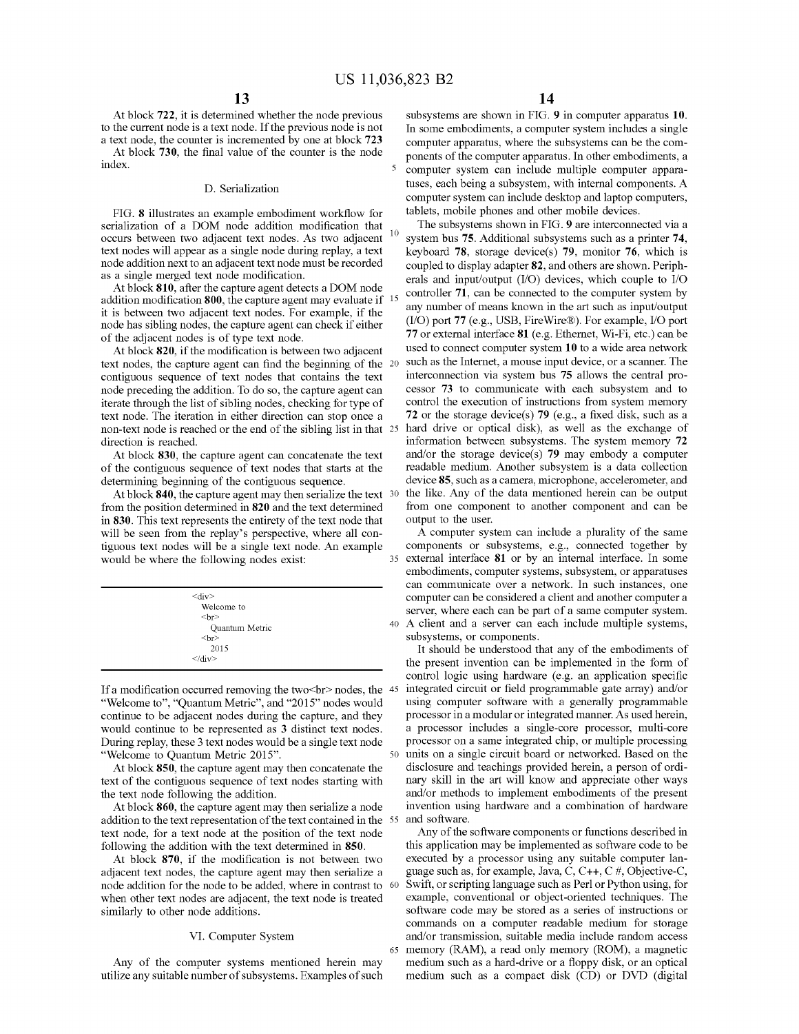At block **722,** it is determined whether the node previous to the current node is a text node. If the previous node is not a text node, the counter is incremented by one at block **723**  At block **730,** the final value of the counter is the node index.

### D. Serialization

FIG. **8** illustrates an example embodiment workflow for serialization of a DOM node addition modification that occurs between two adjacent text nodes. As two adjacent text nodes will appear as a single node during replay, a text node addition next to an adjacent text node must be recorded as a single merged text node modification.

At block **810,** after the capture agent detects a DOM node addition modification **800,** the capture agent may evaluate if it is between two adjacent text nodes. For example, if the node has sibling nodes, the capture agent can check if either of the adjacent nodes is of type text node.

At block **820,** if the modification is between two adjacent text nodes, the capture agent can find the beginning of the contiguous sequence of text nodes that contains the text node preceding the addition. To do so, the capture agent can iterate through the list of sibling nodes, checking for type of text node. The iteration in either direction can stop once a non-text node is reached or the end of the sibling list in that direction is reached.

At block **830,** the capture agent can concatenate the text of the contiguous sequence of text nodes that starts at the determining beginning of the contiguous sequence.

At block **840,** the capture agent may then serialize the text from the position determined in **820** and the text determined in **830.** This text represents the entirety of the text node that will be seen from the replay's perspective, where all contiguous text nodes will be a single text node. An example would be where the following nodes exist:

| $\langle \text{div} \rangle$ |   |
|------------------------------|---|
| Welcome to                   |   |
| <br>5r                       |   |
| Quantum Metric               | ٠ |
| <br>5r                       |   |
| 2015                         |   |
| $\langle$ div>               |   |
|                              |   |

If a modification occurred removing the two $\text{>}$  nodes, the 45 "Welcome to", "Quantum Metric", and "2015" nodes would continue to be adjacent nodes during the capture, and they would continue to be represented as **3** distinct text nodes. During replay, these 3 text nodes would be a single text node "Welcome to Quantum Metric 2015".

At block **850,** the capture agent may then concatenate the text of the contiguous sequence of text nodes starting with the text node following the addition.

At block **860,** the capture agent may then serialize a node addition to the text representation of the text contained in the 55 text node, for a text node at the position of the text node following the addition with the text determined in **850.** 

At block **870,** if the modification is not between two adjacent text nodes, the capture agent may then serialize a node addition for the node to be added, where in contrast to 60 when other text nodes are adjacent, the text node is treated similarly to other node additions.

Any of the computer systems mentioned herein may utilize any suitable number of subsystems. Examples of such **14** 

subsystems are shown in FIG. **9** in computer apparatus **10.**  In some embodiments, a computer system includes a single computer apparatus, where the subsystems can be the components of the computer apparatus. In other embodiments, a 5 computer system can include multiple computer apparatuses, each being a subsystem, with internal components. A computer system can include desktop and laptop computers, tablets, mobile phones and other mobile devices.

The subsystems shown in FIG. 9 are interconnected via a system bus **75.** Additional subsystems such as a printer **74,**  keyboard **78,** storage device(s) **79,** monitor **76,** which is coupled to display adapter **82,** and others are shown. Peripherals and input/output (I/O) devices, which couple to I/O controller 71, can be connected to the computer system by any number of means known in the art such as input/output (I/O) port **77** (e.g., USB, Fire Wire®). For example, I/O port **77** or external interface **81** (e.g. Ethernet, Wi-Fi, etc.) can be used to connect computer system **10** to a wide area network such as the Internet, a mouse input device, or a scanner. The interconnection via system bus **75** allows the central processor **73** to communicate with each subsystem and to control the execution of instructions from system memory **72** or the storage device(s) **79** (e.g., a fixed disk, such as a hard drive or optical disk), as well as the exchange of information between subsystems. The system memory **72**  and/or the storage device(s) **79** may embody a computer readable medium. Another subsystem is a data collection device **85,** such as a camera, microphone, accelerometer, and the like. Any of the data mentioned herein can be output from one component to another component and can be output to the user.

A computer system can include a plurality of the same components or subsystems, e.g., connected together by 35 external interface **81** or by an internal interface. In some embodiments, computer systems, subsystem, or apparatuses can communicate over a network. In such instances, one computer can be considered a client and another computer a server, where each can be part of a same computer system. 40 A client and a server can each include multiple systems, subsystems, or components.

It should be understood that any of the embodiments of the present invention can be implemented in the form of control logic using hardware (e.g. an application specific integrated circuit or field programmable gate array) and/or using computer software with a generally programmable processor in a modular or integrated manner. As used herein, a processor includes a single-core processor, multi-core processor on a same integrated chip, or multiple processing units on a single circuit board or networked. Based on the disclosure and teachings provided herein, a person of ordinary skill in the art will know and appreciate other ways and/or methods to implement embodiments of the present invention using hardware and a combination of hardware and software.

Any of the software components or functions described in this application may be implemented as software code to be executed by a processor using any suitable computer language such as, for example, Java, C, C++, C  $#$ , Objective-C, Swift, or scripting language such as Perl or Python using, for example, conventional or object-oriented techniques. The software code may be stored as a series of instructions or commands on a computer readable medium for storage VI. Computer System and/or transmission, suitable media include random access 65 memory (RAM), a read only memory (ROM), a magnetic medium such as a hard-drive or a floppy disk, or an optical medium such as a compact disk (CD) or DVD (digital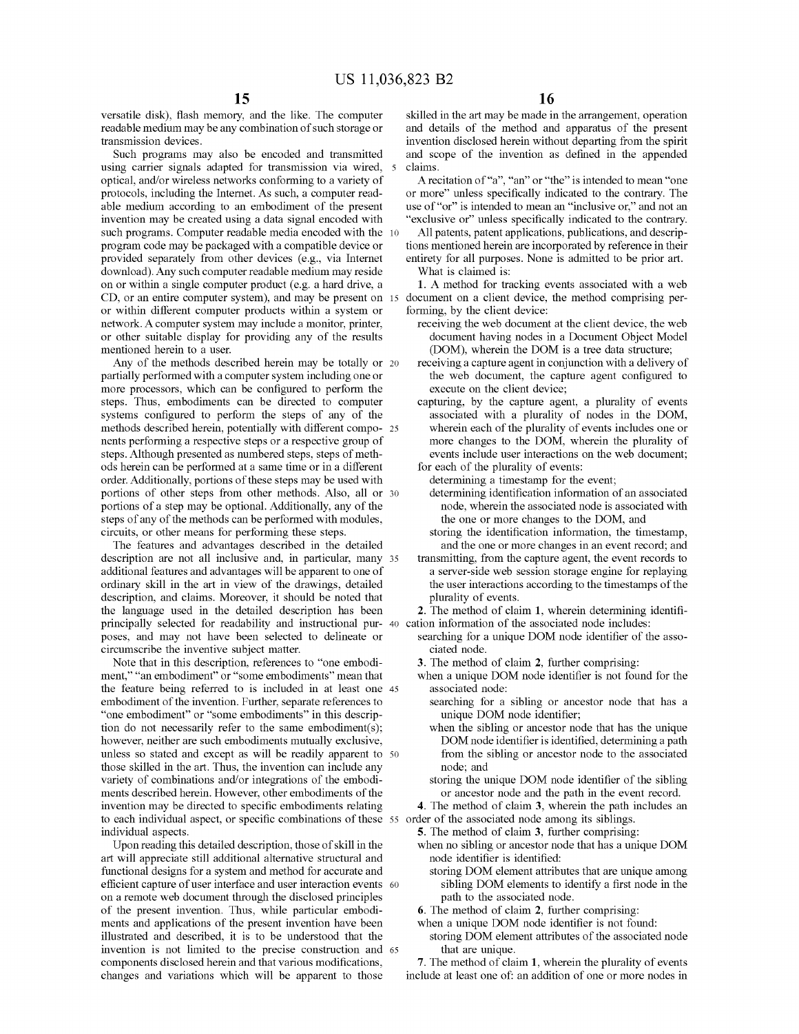versatile disk), flash memory, and the like. The computer readable medium may be any combination of such storage or transmission devices.

Such programs may also be encoded and transmitted using carrier signals adapted for transmission via wired, optical, and/or wireless networks conforming to a variety of protocols, including the Internet. As such, a computer readable medium according to an embodiment of the present invention may be created using a data signal encoded with such programs. Computer readable media encoded with the 10 program code may be packaged with a compatible device or provided separately from other devices (e.g., via Internet download). Any such computer readable medium may reside on or within a single computer product (e.g. a hard drive, a CD, or an entire computer system), and may be present on 15 document on a client device, the method comprising peror within different computer products within a system or network. A computer system may include a monitor, printer, or other suitable display for providing any of the results mentioned herein to a user.

Any of the methods described herein may be totally or 20 partially performed with a computer system including one or more processors, which can be configured to perform the steps. Thus, embodiments can be directed to computer systems configured to perform the steps of any of the methods described herein, potentially with different compo- 25 nents performing a respective steps or a respective group of steps. Although presented as numbered steps, steps of methods herein can be performed at a same time or in a different order. Additionally, portions of these steps may be used with portions of other steps from other methods. Also, all or 30 portions of a step may be optional. Additionally, any of the steps of any of the methods can be performed with modules, circuits, or other means for performing these steps.

The features and advantages described in the detailed description are not all inclusive and, in particular, many 35 additional features and advantages will be apparent to one of ordinary skill in the art in view of the drawings, detailed description, and claims. Moreover, it should be noted that the language used in the detailed description has been principally selected for readability and instructional pur- 40 cation information of the associated node includes: poses, and may not have been selected to delineate or circumscribe the inventive subject matter.

Note that in this description, references to "one embodiment," "an embodiment" or "some embodiments" mean that the feature being referred to is included in at least one 45 embodiment of the invention. Further, separate references to "one embodiment" or "some embodiments" in this description do not necessarily refer to the same embodiment(s); however, neither are such embodiments mutually exclusive, unless so stated and except as will be readily apparent to 50 those skilled in the art. Thus, the invention can include any variety of combinations and/or integrations of the embodiments described herein. However, other embodiments of the invention may be directed to specific embodiments relating to each individual aspect, or specific combinations of these 55 order of the associated node among its siblings. individual aspects.

Upon reading this detailed description, those of skill in the art will appreciate still additional alternative structural and functional designs for a system and method for accurate and efficient capture of user interface and user interaction events 60 on a remote web document through the disclosed principles of the present invention. Thus, while particular embodiments and applications of the present invention have been illustrated and described, it is to be understood that the invention is not limited to the precise construction and 65 components disclosed herein and that various modifications, changes and variations which will be apparent to those

skilled in the art may be made in the arrangement, operation and details of the method and apparatus of the present invention disclosed herein without departing from the spirit and scope of the invention as defined in the appended 5 claims.

A recitation of "a", "an" or "the" is intended to mean "one or more" unless specifically indicated to the contrary. The use of "or" is intended to mean an "inclusive or," and not an "exclusive or" unless specifically indicated to the contrary.

All patents, patent applications, publications, and descriptions mentioned herein are incorporated by reference in their entirety for all purposes. None is admitted to be prior art. What is claimed is:

**1.** A method for tracking events associated with a web forming, by the client device:

- receiving the web document at the client device, the web document having nodes in a Document Object Model (DOM), wherein the DOM is a tree data structure;
- receiving a capture agent in conjunction with a delivery of the web document, the capture agent configured to execute on the client device;
- capturing, by the capture agent, a plurality of events associated with a plurality of nodes in the DOM, wherein each of the plurality of events includes one or more changes to the DOM, wherein the plurality of events include user interactions on the web document; for each of the plurality of events:

determining a timestamp for the event;

- determining identification information of an associated node, wherein the associated node is associated with the one or more changes to the DOM, and
- storing the identification information, the timestamp, and the one or more changes in an event record; and
- transmitting, from the capture agent, the event records to a server-side web session storage engine for replaying the user interactions according to the timestamps of the plurality of events.

**2.** The method of claim **1,** wherein determining identifi-

searching for a unique DOM node identifier of the associated node.

**3.** The method of claim **2,** further comprising:

- when a unique DOM node identifier is not found for the associated node:
	- searching for a sibling or ancestor node that has a unique DOM node identifier;
	- when the sibling or ancestor node that has the unique DOM node identifier is identified, determining a path from the sibling or ancestor node to the associated node; and
	- storing the unique DOM node identifier of the sibling or ancestor node and the path in the event record.

**4.** The method of claim **3,** wherein the path includes an

**5.** The method of claim **3,** further comprising:

- when no sibling or ancestor node that has a unique DOM node identifier is identified:
	- storing DOM element attributes that are unique among sibling DOM elements to identify a first node in the path to the associated node.

**6.** The method of claim **2,** further comprising:

- when a unique DOM node identifier is not found: storing DOM element attributes of the associated node
- that are unique.

**7.** The method of claim **1,** wherein the plurality of events include at least one of: an addition of one or more nodes in